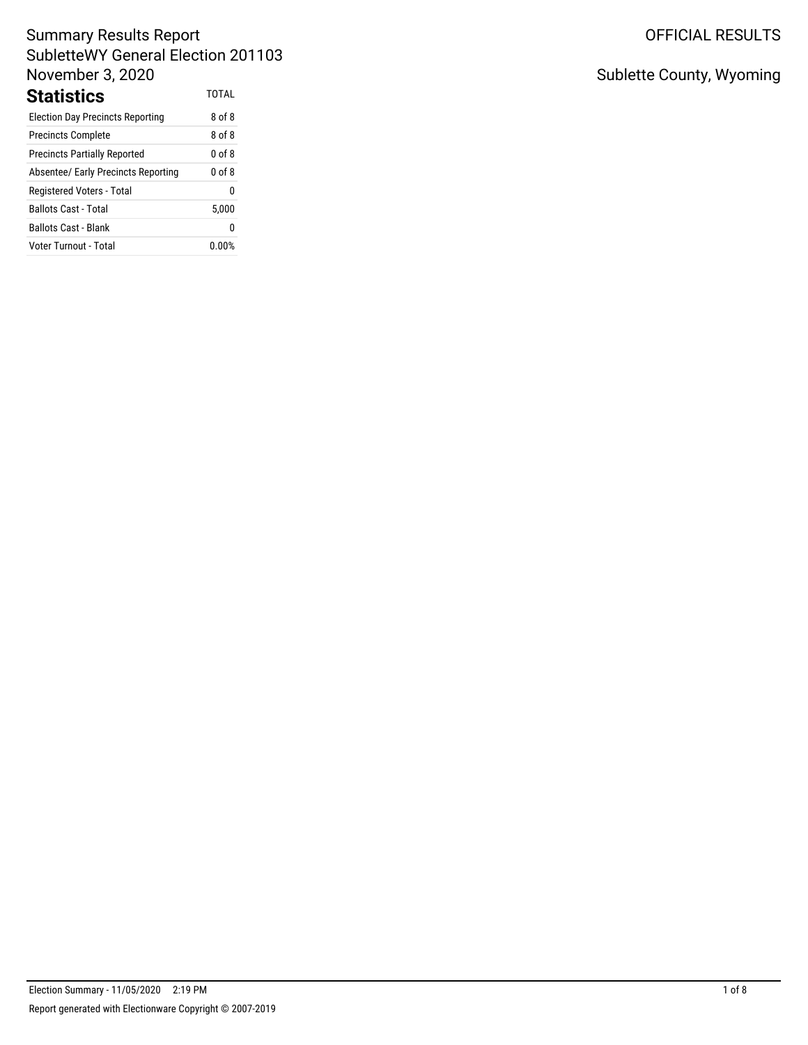# Summary Results Report SubletteWY General Election 201103 November 3, 2020 Statistics TOTAL

| 8 of 8     |
|------------|
| 8 of 8     |
| $0$ of $8$ |
| $0$ of $8$ |
| 0          |
| 5,000      |
| 0          |
| $0.00\%$   |
|            |

# OFFICIAL RESULTS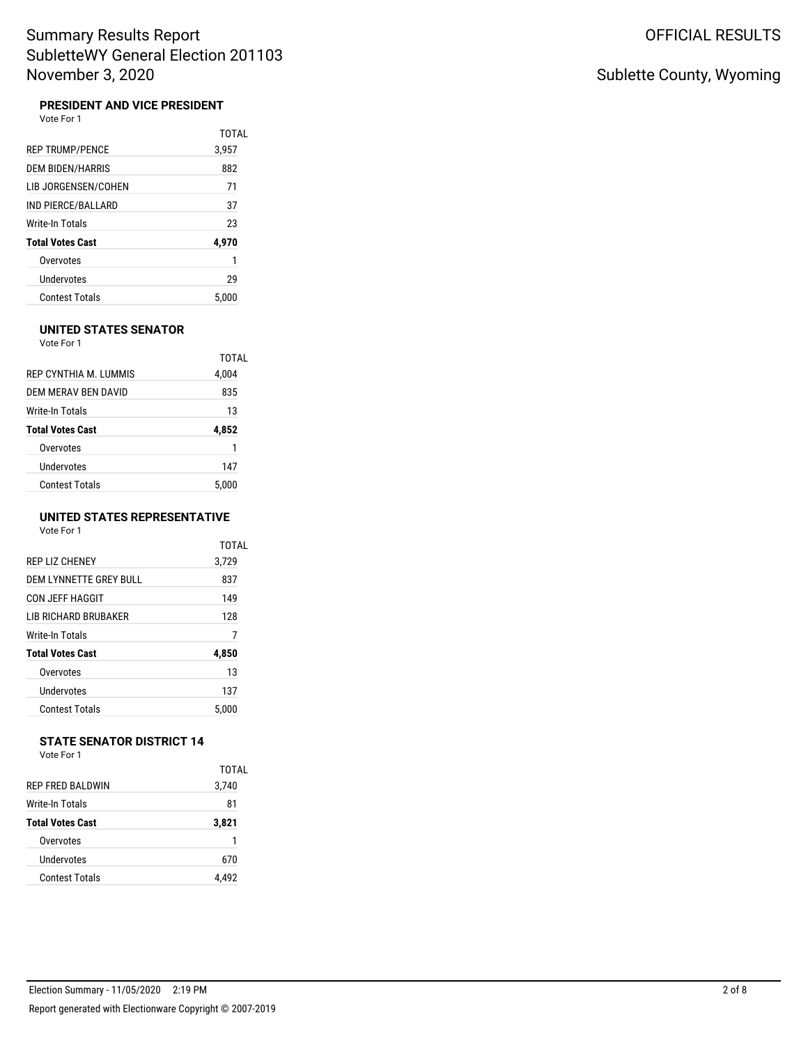#### **PRESIDENT AND VICE PRESIDENT**

Vote For 1

|                         | TOTAL |
|-------------------------|-------|
| <b>REP TRUMP/PENCE</b>  | 3,957 |
| <b>DEM BIDEN/HARRIS</b> | 882   |
| LIB JORGENSEN/COHEN     | 71    |
| IND PIERCE/BALLARD      | 37    |
| Write-In Totals         | 23    |
| <b>Total Votes Cast</b> | 4,970 |
| Overvotes               | 1     |
| Undervotes              | 29    |
| <b>Contest Totals</b>   | 5.000 |

#### **UNITED STATES SENATOR**

Vote For 1

|                         | TOTAL |
|-------------------------|-------|
| REP CYNTHIA M. LUMMIS   | 4,004 |
| DEM MERAV BEN DAVID     | 835   |
| Write-In Totals         | 13    |
|                         |       |
| <b>Total Votes Cast</b> | 4,852 |
| Overvotes               | 1     |
| Undervotes              | 147   |

### **UNITED STATES REPRESENTATIVE**

Vote For 1

|                               | <b>TOTAL</b> |
|-------------------------------|--------------|
| REP LIZ CHENEY                | 3,729        |
| <b>DEM LYNNETTE GREY BULL</b> | 837          |
| CON JEFF HAGGIT               | 149          |
| LIB RICHARD BRUBAKER          | 128          |
| Write-In Totals               | 7            |
| <b>Total Votes Cast</b>       | 4,850        |
| Overvotes                     | 13           |
| Undervotes                    | 137          |
| <b>Contest Totals</b>         | 5.000        |

#### **STATE SENATOR DISTRICT 14** Vote For 1

|                         | TOTAL |
|-------------------------|-------|
| RFP FRFD BAI DWIN       | 3,740 |
| Write-In Totals         | 81    |
| <b>Total Votes Cast</b> | 3,821 |
| Overvotes               |       |
| Undervotes              | 670   |
| <b>Contest Totals</b>   |       |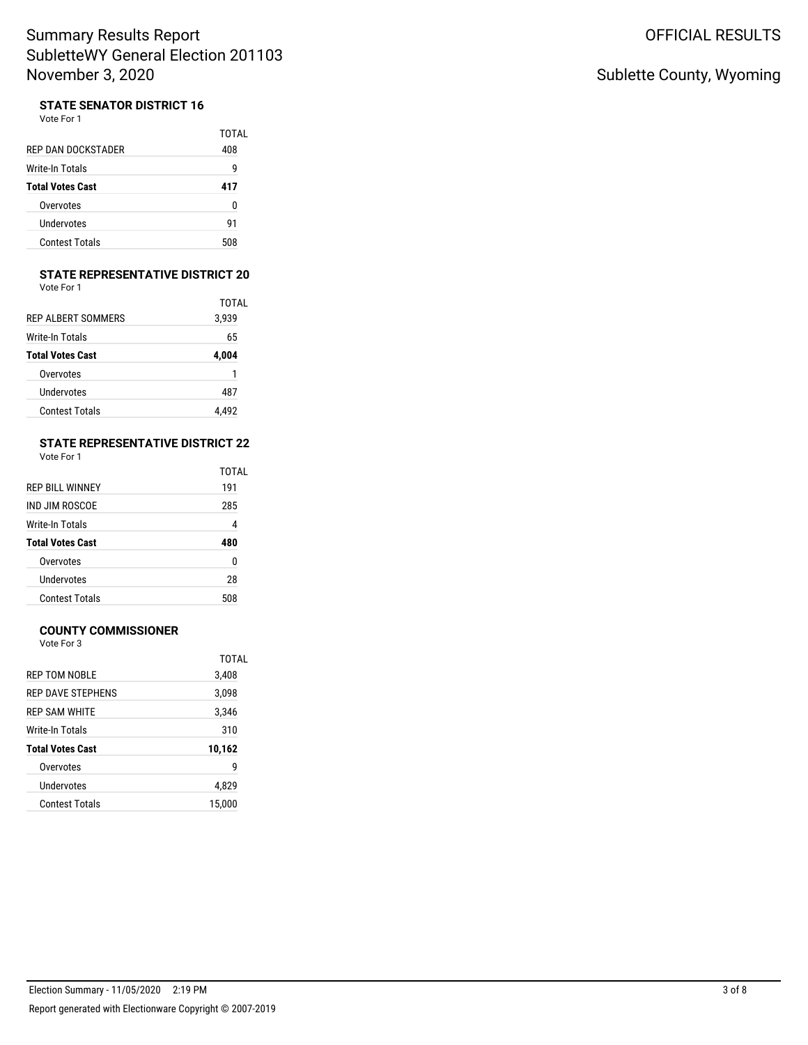### **STATE SENATOR DISTRICT 16**

| Vote For 1 |  |
|------------|--|
|------------|--|

| REP DAN DOCKSTADER      | TOTAI<br>408 |
|-------------------------|--------------|
|                         |              |
| Write-In Totals         | g            |
| <b>Total Votes Cast</b> | 417          |
| Overvotes               | 0            |
| Undervotes              | 91           |
| <b>Contest Totals</b>   | 508          |

#### **STATE REPRESENTATIVE DISTRICT 20**

TOTAL

| <b>Total Votes Cast</b> | 4,004 |
|-------------------------|-------|
| Write-In Totals         | 65    |
| REP ALBERT SOMMERS      | 3.939 |
|                         | TOT/  |
| Vote For 1              |       |

| Overvotes             |       |
|-----------------------|-------|
| Undervotes            | 487   |
| <b>Contest Totals</b> | 4.492 |

## **STATE REPRESENTATIVE DISTRICT 22**

Vote For 1

|                         | <b>TOTAL</b> |
|-------------------------|--------------|
| REP BILL WINNEY         | 191          |
| IND JIM ROSCOF          | 285          |
| Write-In Totals         | 4            |
| <b>Total Votes Cast</b> | 480          |
| Overvotes               | 0            |
| Undervotes              | 28           |
| <b>Contest Totals</b>   | 508          |
|                         |              |

### **COUNTY COMMISSIONER**

Vote For 3

|                         | TOTAL  |
|-------------------------|--------|
| REP TOM NOBLE           | 3,408  |
| REP DAVE STEPHENS       | 3,098  |
| REP SAM WHITE           | 3,346  |
| Write-In Totals         | 310    |
| <b>Total Votes Cast</b> | 10,162 |
| Overvotes               | 9      |
| <b>Undervotes</b>       | 4,829  |
| <b>Contest Totals</b>   | 15.000 |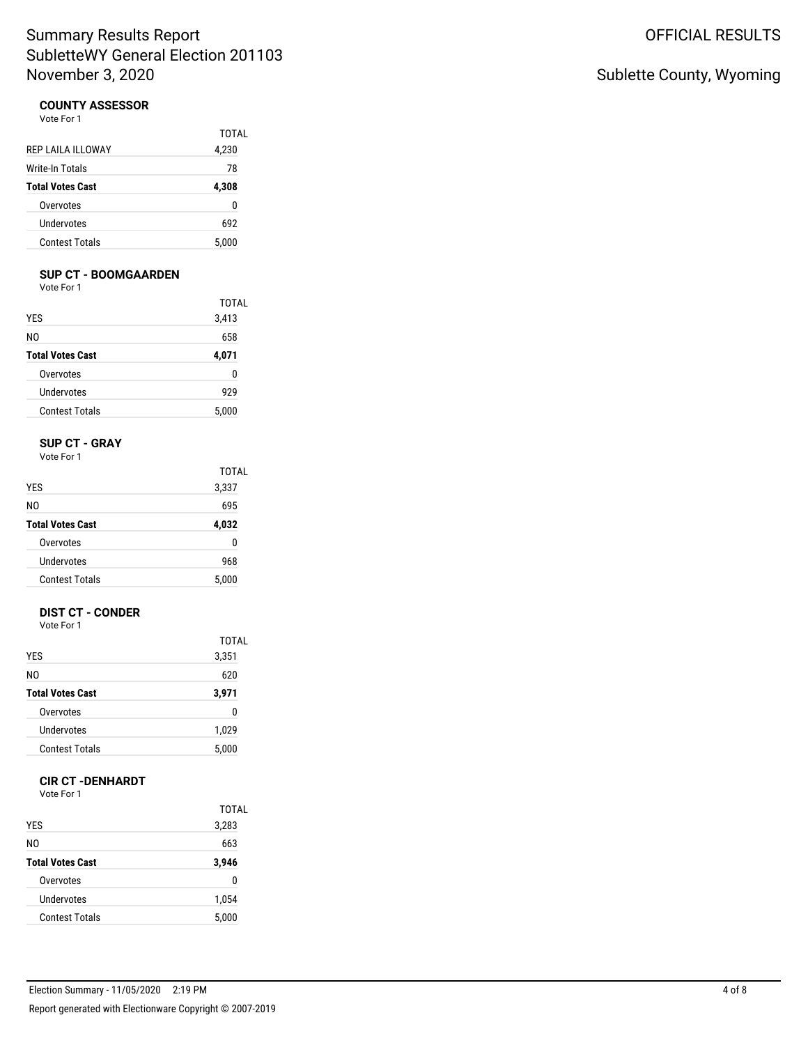### **COUNTY ASSESSOR**

Vote For 1

|                         | TOTAL |
|-------------------------|-------|
| REP LAILA ILLOWAY       | 4,230 |
| Write-In Totals         | 78    |
| <b>Total Votes Cast</b> | 4,308 |
| Overvotes               | 0     |
| Undervotes              | 692   |
| <b>Contest Totals</b>   | 5,000 |
|                         |       |

#### **SUP CT - BOOMGAARDEN**

Vote For 1

| <b>YES</b><br>N0<br><b>Total Votes Cast</b> | <b>TOTAL</b>          |            |     |
|---------------------------------------------|-----------------------|------------|-----|
|                                             | 3,413<br>658<br>4,071 |            |     |
|                                             |                       | Overvotes  | 0   |
|                                             |                       | Undervotes | 929 |
| <b>Contest Totals</b>                       | 5,000                 |            |     |

#### **SUP CT - GRAY** Vote For 1

| <b>YES</b><br>NΩ<br><b>Total Votes Cast</b> | TOTAL<br>3,337<br>695<br>4,032 |                       |       |
|---------------------------------------------|--------------------------------|-----------------------|-------|
|                                             |                                | Overvotes             | n     |
|                                             |                                | Undervotes            | 968   |
|                                             |                                | <b>Contest Totals</b> | 5.000 |

### **DIST CT - CONDER**

Vote For 1

|                         | TOTAL |
|-------------------------|-------|
| <b>YES</b>              | 3,351 |
| NO.                     | 620   |
| <b>Total Votes Cast</b> | 3,971 |
| Overvotes               | 0     |
| Undervotes              | 1,029 |
| <b>Contest Totals</b>   | 5,000 |

#### **CIR CT -DENHARDT**

Vote For 1

|                         | TOTAL |
|-------------------------|-------|
| <b>YES</b>              | 3,283 |
| N0                      | 663   |
| <b>Total Votes Cast</b> | 3,946 |
| Overvotes               | 0     |
| Undervotes              | 1,054 |
| <b>Contest Totals</b>   | 5,000 |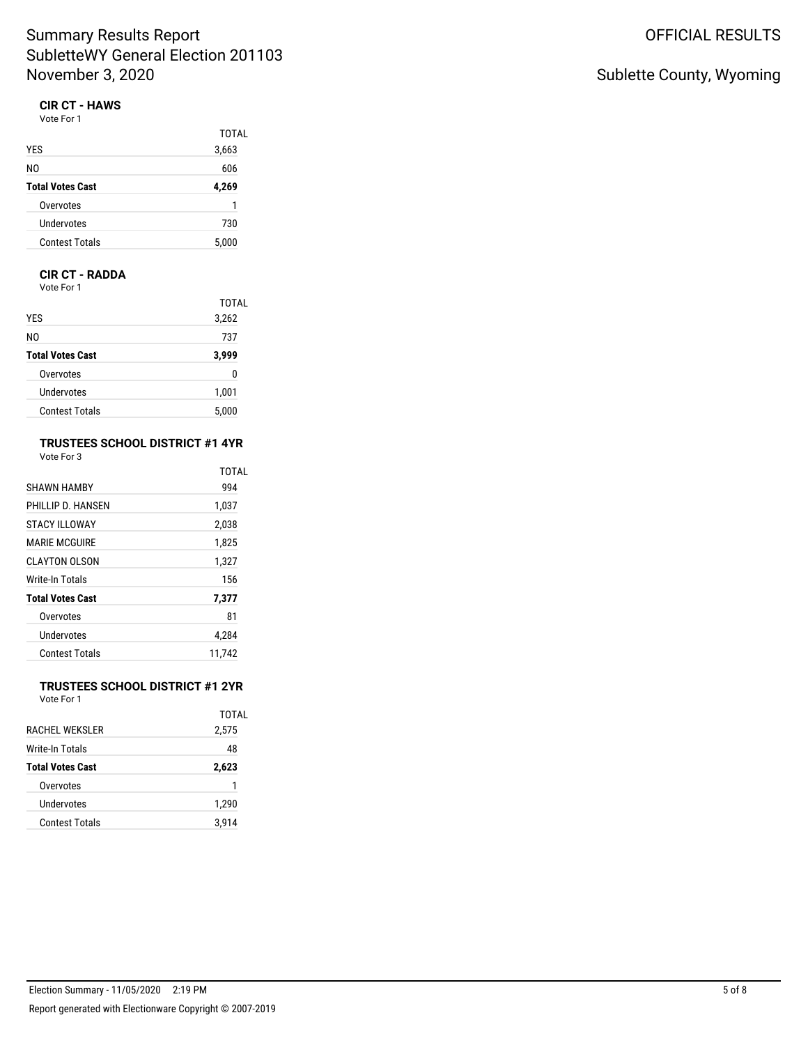#### **CIR CT - HAWS** Vote For 1

| .                       |       |
|-------------------------|-------|
|                         | TOTAL |
| <b>YES</b>              | 3,663 |
| N <sub>0</sub>          | 606   |
| <b>Total Votes Cast</b> | 4,269 |
| Overvotes               | 1     |
| Undervotes              | 730   |
| <b>Contest Totals</b>   | 5,000 |
|                         |       |

#### **CIR CT - RADDA**

Vote For 1

|                         | TOTAL |
|-------------------------|-------|
| <b>YES</b>              | 3,262 |
| NO.                     | 737   |
| <b>Total Votes Cast</b> | 3,999 |
| Overvotes               | 0     |
| Undervotes              | 1,001 |
| <b>Contest Totals</b>   | 5,000 |

#### **TRUSTEES SCHOOL DISTRICT #1 4YR** Vote For 3

| <b>SHAWN HAMBY</b>      | <b>TOTAL</b><br>994 |
|-------------------------|---------------------|
| PHILLIP D. HANSEN       | 1,037               |
| <b>STACY ILLOWAY</b>    | 2,038               |
| <b>MARIF MCGUIRE</b>    | 1,825               |
| CLAYTON OLSON           | 1,327               |
| <b>Write-In Totals</b>  | 156                 |
| <b>Total Votes Cast</b> | 7,377               |
| Overvotes               | 81                  |
| Undervotes              | 4.284               |
| Contest Totals          | 11,742              |

#### **TRUSTEES SCHOOL DISTRICT #1 2YR** Vote For 1

|                         | TOTAL |
|-------------------------|-------|
| <b>RACHEL WEKSLER</b>   | 2,575 |
| Write-In Totals         | 48    |
| <b>Total Votes Cast</b> | 2,623 |
| Overvotes               | 1     |
| Undervotes              | 1,290 |
| Contest Totals          | 3.914 |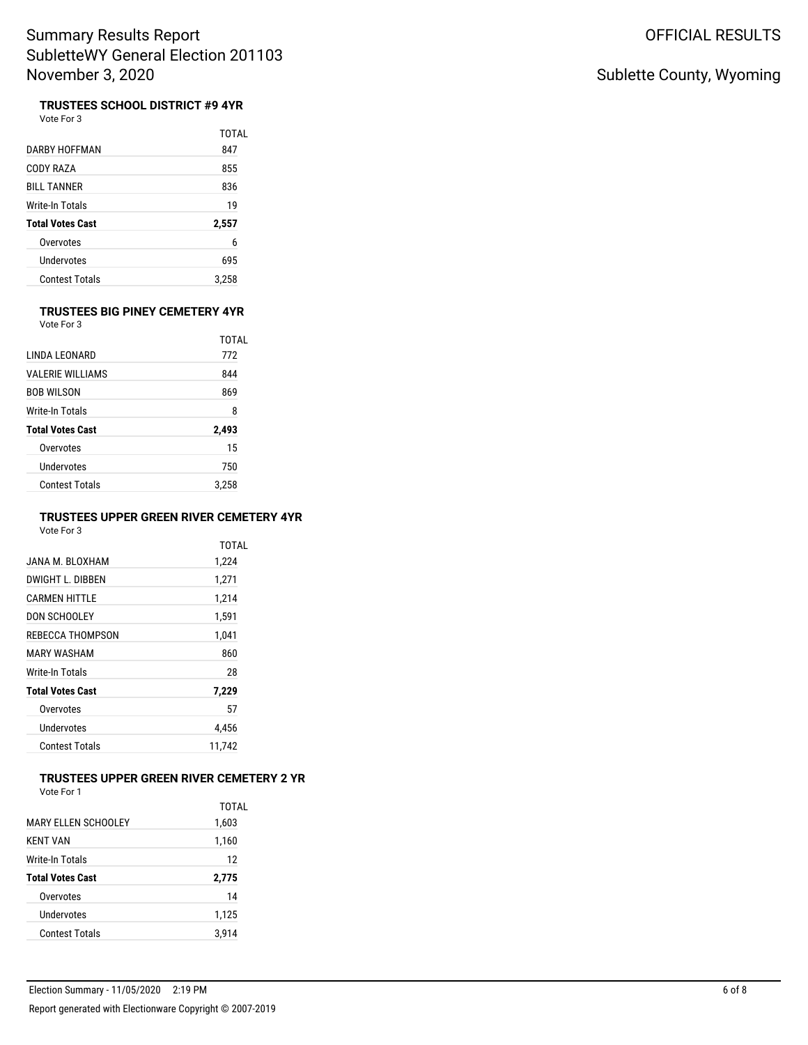# Sublette County, Wyoming

**TRUSTEES SCHOOL DISTRICT #9 4YR**<br>Vote For 3

|                         | TOTAL |
|-------------------------|-------|
| DARRY HOFFMAN           | 847   |
| CODY RAZA               | 855   |
| <b>BILL TANNER</b>      | 836   |
| Write-In Totals         | 19    |
| <b>Total Votes Cast</b> | 2,557 |
| Overvotes               | 6     |
| Undervotes              | 695   |
| Contest Totals          | 3.258 |

#### **TRUSTEES BIG PINEY CEMETERY 4YR** Vote For 3

|                          | TOTAI |
|--------------------------|-------|
| I INDA I FONARD          | 772   |
| <b>VAI FRIF WILLIAMS</b> | 844   |
| BOB WILSON               | 869   |
| Write-In Totals          | 8     |
| <b>Total Votes Cast</b>  | 2,493 |
| Overvotes                | 15    |
| <b>Undervotes</b>        | 750   |
| <b>Contest Totals</b>    | 3.258 |

### **TRUSTEES UPPER GREEN RIVER CEMETERY 4YR**

Vote For 3

|                         | TOTAL  |
|-------------------------|--------|
| JANA M. BI OXHAM        | 1,224  |
| DWIGHT I DIBBEN         | 1,271  |
| <b>CARMEN HITTI F</b>   | 1,214  |
| DON SCHOOLEY            | 1,591  |
| REBECCA THOMPSON        | 1,041  |
| MARY WASHAM             | 860    |
| Write-In Totals         | 28     |
| <b>Total Votes Cast</b> | 7,229  |
| Overvotes               | 57     |
| Undervotes              | 4.456  |
| Contest Totals          | 11.742 |
|                         |        |

# **TRUSTEES UPPER GREEN RIVER CEMETERY 2 YR**

| MARY FLLEN SCHOOLEY     | TOTAL<br>1,603 |
|-------------------------|----------------|
| <b>KENT VAN</b>         | 1,160          |
| Write-In Totals         | 12             |
| <b>Total Votes Cast</b> | 2,775          |
|                         |                |
| Overvotes               | 14             |
| Undervotes              | 1,125          |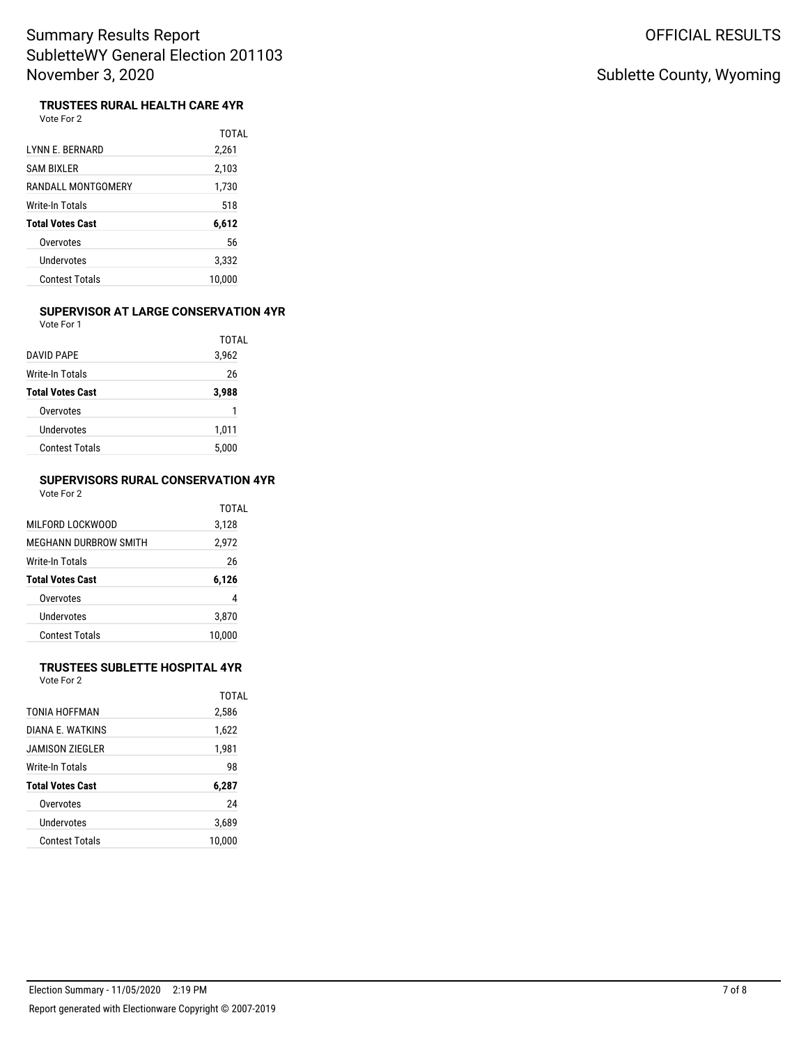# Sublette County, Wyoming

#### **TRUSTEES RURAL HEALTH CARE 4YR**

|                         | TOTAL  |
|-------------------------|--------|
| LYNN E. BERNARD         | 2,261  |
| SAM BIXLER              | 2,103  |
| RANDALL MONTGOMERY      | 1,730  |
| Write-In Totals         | 518    |
| <b>Total Votes Cast</b> | 6,612  |
| Overvotes               | 56     |
| Undervotes              | 3,332  |
| Contest Totals          | 10.000 |

#### **SUPERVISOR AT LARGE CONSERVATION 4YR** Vote For 1

|                                            | TOTAI |
|--------------------------------------------|-------|
| DAVID PAPF                                 | 3,962 |
| Write-In Totals<br><b>Total Votes Cast</b> | 26    |
|                                            | 3,988 |
| Overvotes                                  |       |
| Undervotes                                 | 1,011 |
| Contest Totals                             | 5.000 |

#### **SUPERVISORS RURAL CONSERVATION 4YR** Vote For 2

|                         | TOTAL  |
|-------------------------|--------|
| MII FORD I OCKWOOD      | 3,128  |
| MEGHANN DURBROW SMITH   | 2,972  |
| Write-In Totals         | 26     |
| <b>Total Votes Cast</b> | 6,126  |
| Overvotes               | 4      |
| Undervotes              | 3,870  |
| <b>Contest Totals</b>   | 10.000 |

#### **TRUSTEES SUBLETTE HOSPITAL 4YR** Vote For 2

TOTAL 2,586 1,622 1,981

| VOTE FOL Z       |  |
|------------------|--|
| TONIA HOFFMAN    |  |
| DIANA E. WATKINS |  |
| JAMISON ZIEGLER  |  |
| Write-In Totals  |  |

| Write-In Totals         | 98     |
|-------------------------|--------|
| <b>Total Votes Cast</b> | 6,287  |
| Overvotes               | 24     |
| Undervotes              | 3.689  |
| <b>Contest Totals</b>   | 10.000 |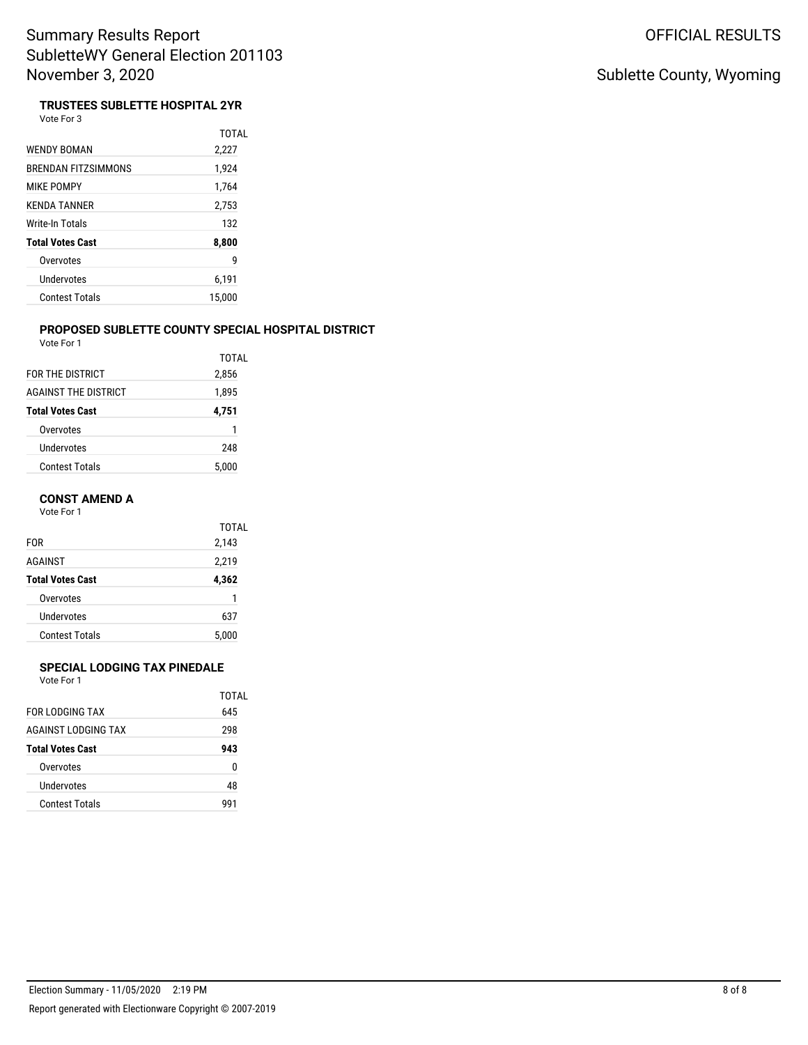# Sublette County, Wyoming

# **TRUSTEES SUBLETTE HOSPITAL 2YR**

|                            | TOTAI  |
|----------------------------|--------|
| WENDY BOMAN                | 2,227  |
| <b>BRENDAN FITZSIMMONS</b> | 1,924  |
| <b>MIKE POMPY</b>          | 1,764  |
| <b>KENDA TANNER</b>        | 2,753  |
| Write-In Totals            | 132    |
| <b>Total Votes Cast</b>    | 8,800  |
| Overvotes                  | 9      |
| Undervotes                 | 6,191  |
| <b>Contest Totals</b>      | 15,000 |

#### **PROPOSED SUBLETTE COUNTY SPECIAL HOSPITAL DISTRICT** Vote For 1

|                             | TOTAI |
|-----------------------------|-------|
| FOR THE DISTRICT            | 2,856 |
| <b>AGAINST THE DISTRICT</b> | 1,895 |
| <b>Total Votes Cast</b>     | 4,751 |
| Overvotes                   | 1     |
| Undervotes                  | 248   |
| Contest Totals              | 5.000 |

#### **CONST AMEND A**

Vote For 1

|                                           | TOTAL |
|-------------------------------------------|-------|
| <b>FOR</b>                                | 2,143 |
| <b>AGAINST</b><br><b>Total Votes Cast</b> | 2,219 |
|                                           | 4,362 |
| Overvotes                                 | 1     |
| Undervotes                                | 637   |
| <b>Contest Totals</b>                     | 5.000 |

#### **SPECIAL LODGING TAX PINEDALE**

|                         | TOTAL |
|-------------------------|-------|
| FOR LODGING TAX         | 645   |
| AGAINST LODGING TAX     | 298   |
| <b>Total Votes Cast</b> | 943   |
| Overvotes               | ŋ     |
| Undervotes              | 48    |
| <b>Contest Totals</b>   | 991   |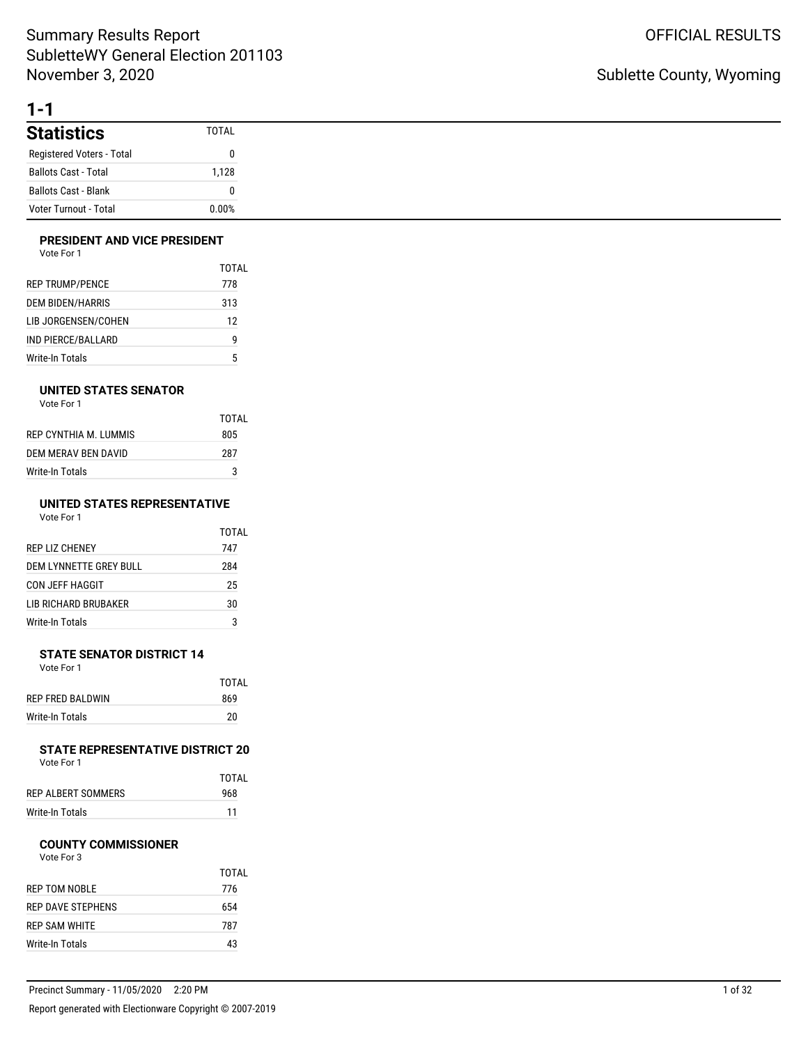# **1-1**

| <b>Statistics</b>           | TOTAL |
|-----------------------------|-------|
| Registered Voters - Total   | 0     |
| <b>Ballots Cast - Total</b> | 1.128 |
| <b>Ballots Cast - Blank</b> | 0     |
| Voter Turnout - Total       | 0.00% |

### **PRESIDENT AND VICE PRESIDENT**

|                         | TOTAL |
|-------------------------|-------|
| <b>REP TRUMP/PENCE</b>  | 778   |
| <b>DEM BIDEN/HARRIS</b> | 313   |
| LIB JORGENSEN/COHEN     | 12    |
| IND PIERCE/BALLARD      | g     |
| Write-In Totals         | 5     |

### **UNITED STATES SENATOR**

Vote For 1

|                       | TOTAL |
|-----------------------|-------|
| REP CYNTHIA M. LUMMIS | 805   |
| DEM MERAV BEN DAVID   | 287   |
| Write-In Totals       | 3     |

#### **UNITED STATES REPRESENTATIVE** Vote For 1

|                        | TOTAL |
|------------------------|-------|
| <b>REP LIZ CHENEY</b>  | 747   |
| DEM LYNNETTE GREY BULL | 284   |
| CON JEFF HAGGIT        | 25    |
| LIB RICHARD BRUBAKER   | 30    |
| Write-In Totals        | 3     |

#### **STATE SENATOR DISTRICT 14** Vote For 1

|                  | TOTAI |
|------------------|-------|
| REP FRED BALDWIN | 869   |
| Write-In Totals  | 20    |

#### **STATE REPRESENTATIVE DISTRICT 20** Vote For 1

TOTAL

| 1 U U U            |     |
|--------------------|-----|
|                    | тот |
| REP ALBERT SOMMERS | 968 |

| ILI ALDLINI JOININILINJ | <b>JUU</b> |
|-------------------------|------------|
| Write-In Totals         |            |
|                         |            |

## **COUNTY COMMISSIONER**

|                      | TOTAL |
|----------------------|-------|
| <b>REP TOM NOBLE</b> | 776   |
| REP DAVE STEPHENS    | 654   |
| REP SAM WHITE        | 787   |
| Write-In Totals      | 43    |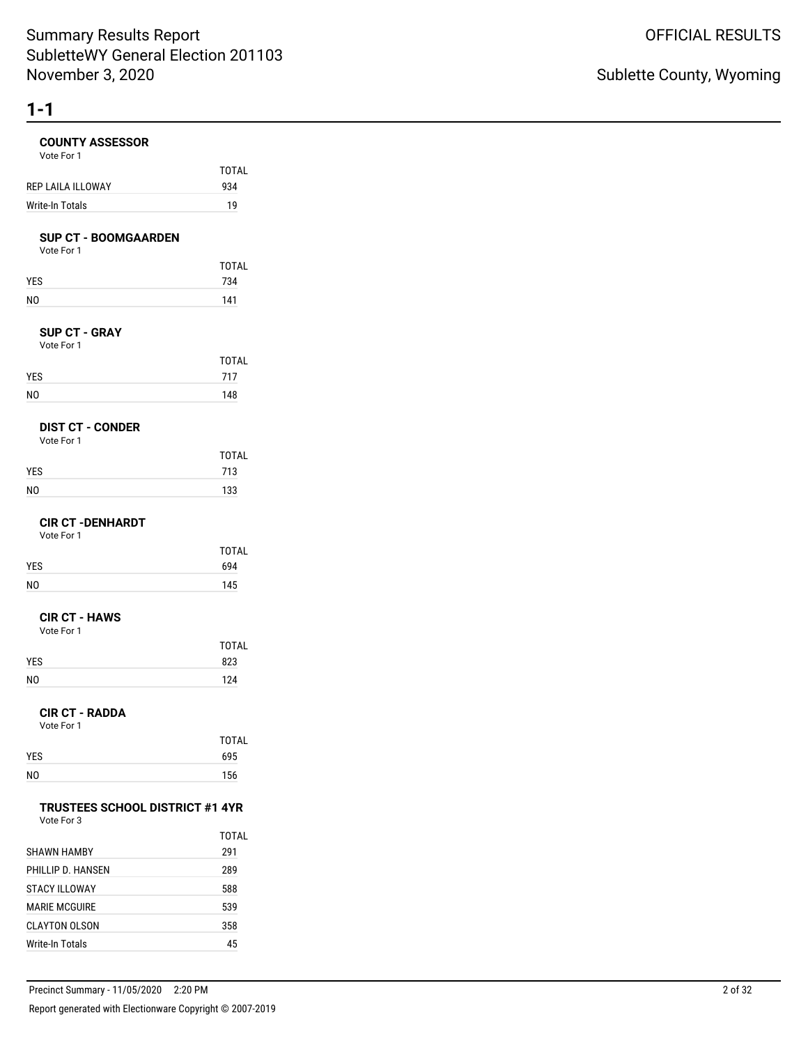# **COUNTY ASSESSOR**

| <b>COUNTY ASSESSOR</b><br>Vote For 1                 |                     |
|------------------------------------------------------|---------------------|
| REP LAILA ILLOWAY                                    | <b>TOTAL</b><br>934 |
| Write-In Totals                                      | 19                  |
| <b>SUP CT - BOOMGAARDEN</b><br>Vote For 1            |                     |
|                                                      | <b>TOTAL</b>        |
| YES                                                  | 734                 |
| NO                                                   | 141                 |
| <b>SUP CT - GRAY</b><br>Vote For 1                   |                     |
|                                                      | <b>TOTAL</b>        |
| YES                                                  | 717                 |
| NO                                                   | 148                 |
| <b>DIST CT - CONDER</b><br>Vote For 1                |                     |
|                                                      | <b>TOTAL</b>        |
| YES                                                  | 713                 |
| NO                                                   | 133                 |
| <b>CIR CT -DENHARDT</b><br>Vote For 1                |                     |
|                                                      | <b>TOTAL</b>        |
| YES<br>NO                                            | 694<br>145          |
|                                                      |                     |
| <b>CIR CT - HAWS</b><br>Vote For 1                   |                     |
| <b>YES</b>                                           | <b>TOTAL</b><br>823 |
| NO                                                   | 124                 |
| <b>CIR CT - RADDA</b><br>Vote For 1                  |                     |
|                                                      | TOTAL               |
| YES                                                  | 695                 |
| N0                                                   | 156                 |
| <b>TRUSTEES SCHOOL DISTRICT #1 4YR</b><br>Vote For 3 |                     |
|                                                      | <b>TOTAL</b>        |
| <b>SHAWN HAMBY</b>                                   | 291                 |
| PHILLIP D. HANSEN                                    | 289                 |
| <b>STACY ILLOWAY</b>                                 | 588                 |
| <b>MARIE MCGUIRE</b><br><b>CLAYTON OLSON</b>         | 539<br>358          |
|                                                      |                     |

Write-In Totals 45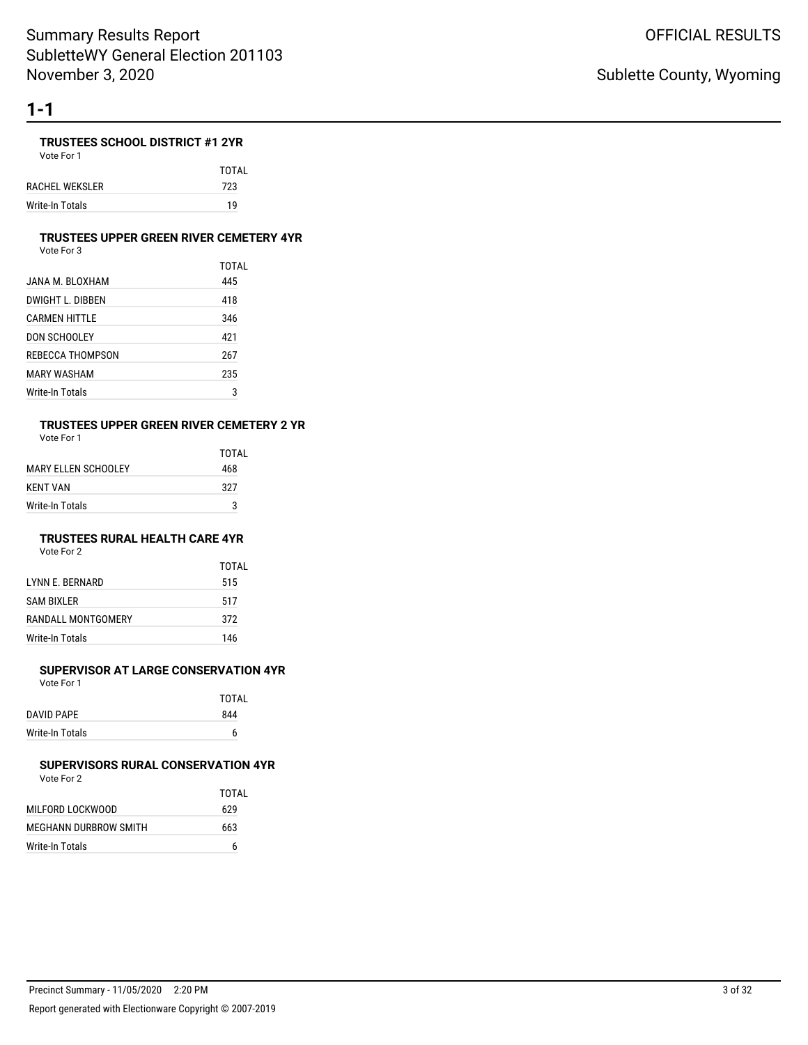### **TRUSTEES SCHOOL DISTRICT #1 2YR**

Vote For 1

TOTAL RACHEL WEKSLER 723 Write-In Totals 19

#### **TRUSTEES UPPER GREEN RIVER CEMETERY 4YR**

Vote For 3

|                  | TOTAL |
|------------------|-------|
| JANA M. BLOXHAM  | 445   |
| DWIGHT L. DIBBEN | 418   |
| CARMEN HITTLE    | 346   |
| DON SCHOOLEY     | 421   |
| REBECCA THOMPSON | 267   |
| MARY WASHAM      | 235   |
| Write-In Totals  | 3     |

# **TRUSTEES UPPER GREEN RIVER CEMETERY 2 YR**

Vote For 1

|                        | TOTAI |
|------------------------|-------|
| MARY FI I FN SCHOOI FY | 468   |
| KFNT VAN               | 327   |
| Write-In Totals        | 3     |

### **TRUSTEES RURAL HEALTH CARE 4YR**

Vote For 2

|                    | TOTAI |
|--------------------|-------|
| LYNN E. BERNARD    | 515   |
| <b>SAM BIXLER</b>  | 517   |
| RANDALL MONTGOMERY | 372   |
| Write-In Totals    | 146   |

### **SUPERVISOR AT LARGE CONSERVATION 4YR**

Vote For 1

|                 | TOTAL |
|-----------------|-------|
| DAVID PAPE      | 844   |
| Write-In Totals | 6     |

#### **SUPERVISORS RURAL CONSERVATION 4YR** Vote For 2

|                       | TOTAI |
|-----------------------|-------|
| MILFORD LOCKWOOD      | 629   |
| MEGHANN DURBROW SMITH | 663   |
| Write-In Totals       | 6     |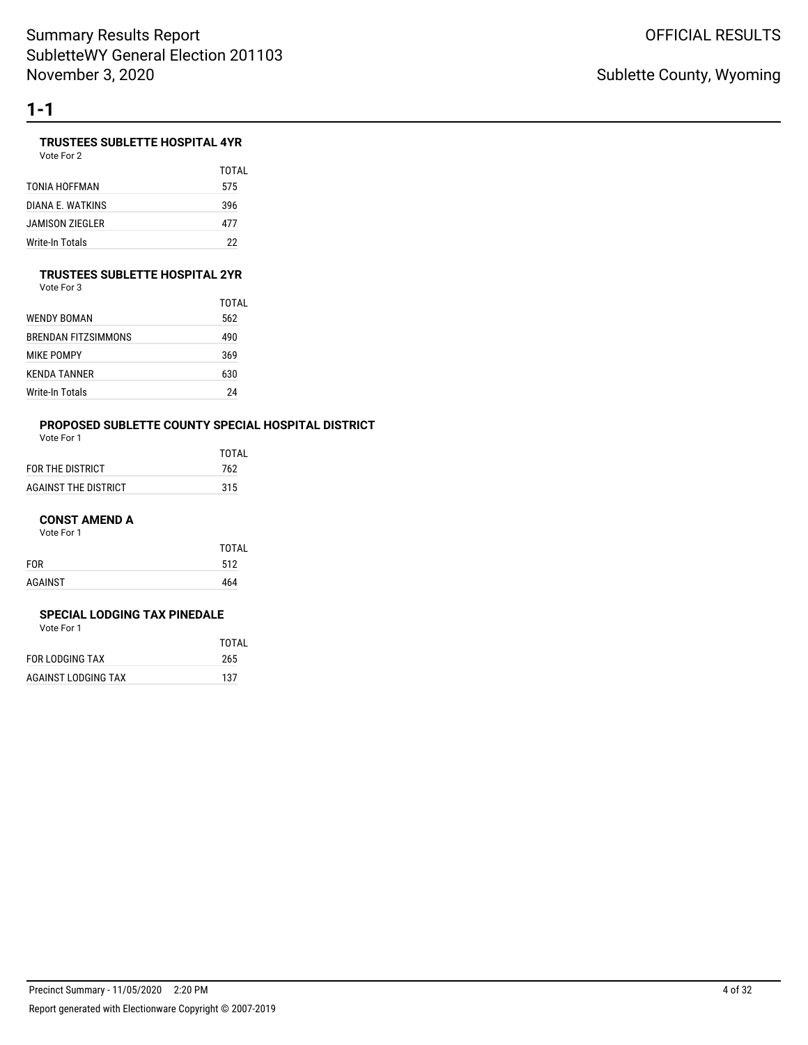### **TRUSTEES SUBLETTE HOSPITAL 4YR**

Vote For 2

|                  | TOTAI |
|------------------|-------|
| TONIA HOFFMAN    | 575   |
| DIANA F. WATKINS | 396   |
| JAMISON ZIEGLER  | 477   |
| Write-In Totals  | 22    |

#### **TRUSTEES SUBLETTE HOSPITAL 2YR**

Vote For 3

|                     | TOTAI |
|---------------------|-------|
| WENDY BOMAN         | 562   |
| BRENDAN FITZSIMMONS | 490   |
| MIKE POMPY          | 369   |
| KFNDA TANNFR        | 630   |
| Write-In Totals     | 24    |

# **PROPOSED SUBLETTE COUNTY SPECIAL HOSPITAL DISTRICT**

|                      | TOTAL |
|----------------------|-------|
| FOR THE DISTRICT     | 762   |
| AGAINST THE DISTRICT | 315   |

#### **CONST AMEND A**

Vote For 1

|            | <b>TOTAL</b> |
|------------|--------------|
| <b>FOR</b> | 512          |
| AGAINST    | 464          |

#### **SPECIAL LODGING TAX PINEDALE**

|                     | TOTAI |
|---------------------|-------|
| FOR LODGING TAX     | 265   |
| AGAINST LODGING TAX | 137   |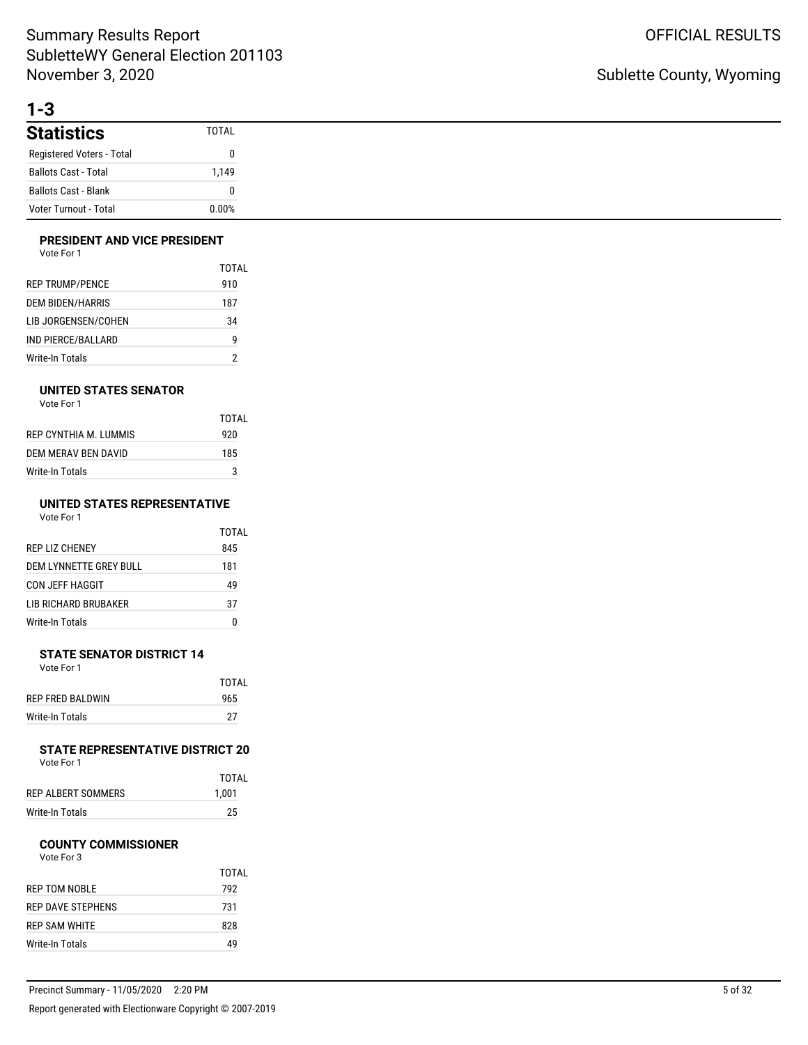# **1-3**

| <b>Statistics</b>           | TOTAL |
|-----------------------------|-------|
| Registered Voters - Total   |       |
| <b>Ballots Cast - Total</b> | 1.149 |
| <b>Ballots Cast - Blank</b> |       |
| Voter Turnout - Total       | 0.00% |

### **PRESIDENT AND VICE PRESIDENT**

|                         | TOTAL |
|-------------------------|-------|
| <b>REP TRUMP/PENCE</b>  | 910   |
| <b>DEM BIDEN/HARRIS</b> | 187   |
| LIB JORGENSEN/COHEN     | 34    |
| IND PIERCE/BALLARD      | g     |
| Write-In Totals         |       |

### **UNITED STATES SENATOR**

Vote For 1

|                       | TOTAL |
|-----------------------|-------|
| REP CYNTHIA M. LUMMIS | 920   |
| DEM MERAV BEN DAVID   | 185   |
| Write-In Totals       | 3     |

#### **UNITED STATES REPRESENTATIVE** Vote For 1

|                        | TOTAL |
|------------------------|-------|
| REP LIZ CHENEY         | 845   |
| DEM LYNNETTE GREY BULL | 181   |
| CON JEFF HAGGIT        | 49    |
| LIB RICHARD BRUBAKER   | 37    |
| Write-In Totals        | 0     |

#### **STATE SENATOR DISTRICT 14** Vote For 1

|                   | TOTAI |
|-------------------|-------|
| REP FRED BAI DWIN | 965   |
| Write-In Totals   | 27    |

#### **STATE REPRESENTATIVE DISTRICT 20** Vote For 1

|                    | TOTAL |
|--------------------|-------|
| REP ALBERT SOMMERS | 1,001 |
| Write-In Totals    | 25    |

#### **COUNTY COMMISSIONER**

|                      | TOTAL |
|----------------------|-------|
| <b>REP TOM NOBLE</b> | 792   |
| REP DAVE STEPHENS    | 731   |
| REP SAM WHITE        | 828   |
| Write-In Totals      | 49    |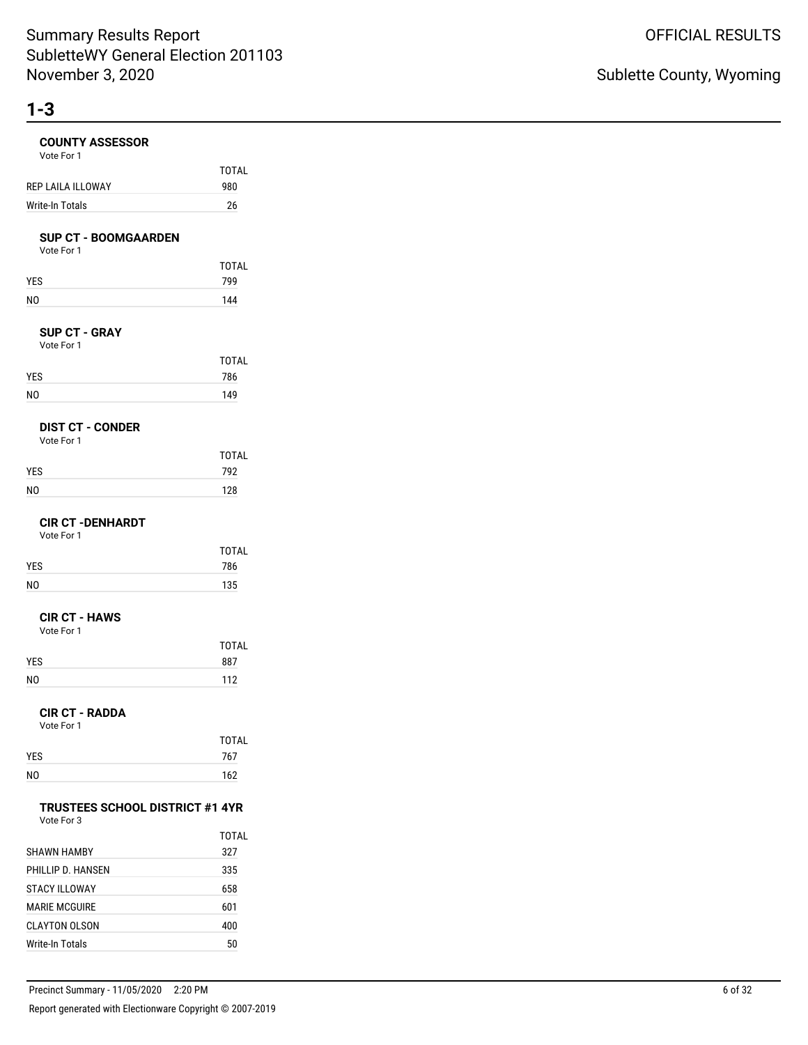| <b>COUNTY ASSESSOR</b><br>Vote For 1                 |                     |
|------------------------------------------------------|---------------------|
| <b>REP LAILA ILLOWAY</b>                             | <b>TOTAL</b><br>980 |
| Write-In Totals                                      | 26                  |
|                                                      |                     |
| <b>SUP CT - BOOMGAARDEN</b><br>Vote For 1            |                     |
|                                                      | <b>TOTAL</b>        |
| YES                                                  | 799                 |
| NO                                                   | 144                 |
| <b>SUP CT - GRAY</b><br>Vote For 1                   |                     |
|                                                      | <b>TOTAL</b>        |
| YES                                                  | 786                 |
| N <sub>0</sub>                                       | 149                 |
| <b>DIST CT - CONDER</b><br>Vote For 1                |                     |
|                                                      | <b>TOTAL</b>        |
| YES                                                  | 792                 |
| N <sub>O</sub>                                       | 128                 |
| <b>CIR CT - DENHARDT</b><br>Vote For 1               |                     |
|                                                      | <b>TOTAL</b>        |
| YES<br>N <sub>O</sub>                                | 786<br>135          |
|                                                      |                     |
| <b>CIR CT - HAWS</b><br>Vote For 1                   |                     |
|                                                      | <b>TOTAL</b><br>887 |
| YES<br>N <sub>O</sub>                                | 112                 |
|                                                      |                     |
| <b>CIR CT - RADDA</b><br>Vote For 1                  |                     |
|                                                      | TOTAL               |
| YES                                                  | 767                 |
| NO                                                   | 162                 |
| <b>TRUSTEES SCHOOL DISTRICT #1 4YR</b><br>Vote For 3 |                     |
|                                                      | TOTAL               |
| <b>SHAWN HAMBY</b>                                   | 327                 |
| PHILLIP D. HANSEN                                    | 335                 |
| <b>STACY ILLOWAY</b>                                 | 658                 |
| <b>MARIE MCGUIRE</b>                                 | 601                 |
| <b>CLAYTON OLSON</b>                                 | 400                 |

Write-In Totals 50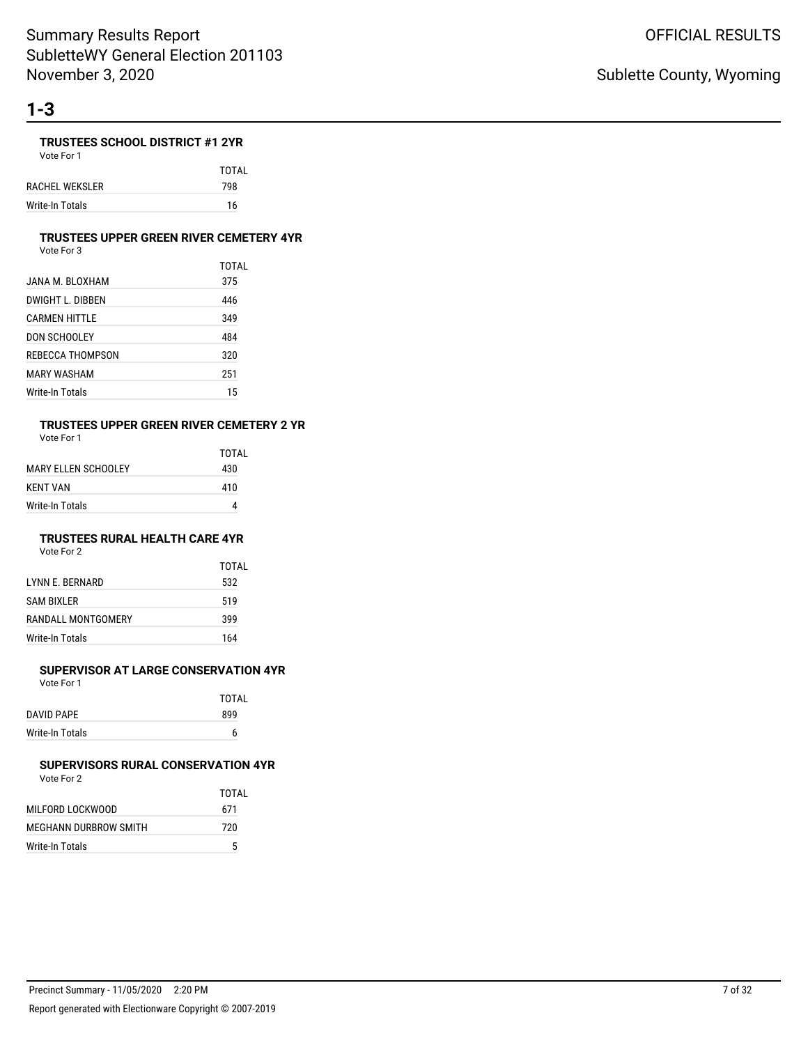### **TRUSTEES SCHOOL DISTRICT #1 2YR**

Vote For 1 TOTAL RACHEL WEKSLER 798 Write-In Totals 16

### **TRUSTEES UPPER GREEN RIVER CEMETERY 4YR**

Vote For 3

|                  | TOTAL |
|------------------|-------|
| JANA M. BLOXHAM  | 375   |
| DWIGHT L. DIBBEN | 446   |
| CARMEN HITTLE    | 349   |
| DON SCHOOLEY     | 484   |
| REBECCA THOMPSON | 320   |
| MARY WASHAM      | 251   |
| Write-In Totals  | 15    |

# **TRUSTEES UPPER GREEN RIVER CEMETERY 2 YR**

Vote For 1

|                        | TOTAI |
|------------------------|-------|
| MARY FI I FN SCHOOI FY | 430   |
| KENT VAN               | 410   |
| Write-In Totals        |       |

## **TRUSTEES RURAL HEALTH CARE 4YR**

Vote For 2

|                    | TOTAL |
|--------------------|-------|
| I YNN F. BERNARD   | 532   |
| <b>SAM BIXLER</b>  | 519   |
| RANDALL MONTGOMERY | 399   |
| Write-In Totals    | 164   |

### **SUPERVISOR AT LARGE CONSERVATION 4YR**

Vote For 1

|                 | TOTAL |
|-----------------|-------|
| DAVID PAPE      | 899   |
| Write-In Totals | 6     |
|                 |       |

#### **SUPERVISORS RURAL CONSERVATION 4YR** Vote For 2

|                       | TOTAL |
|-----------------------|-------|
| MILFORD LOCKWOOD      | 671   |
| MEGHANN DURBROW SMITH | 720   |
| Write-In Totals       | 5     |
|                       |       |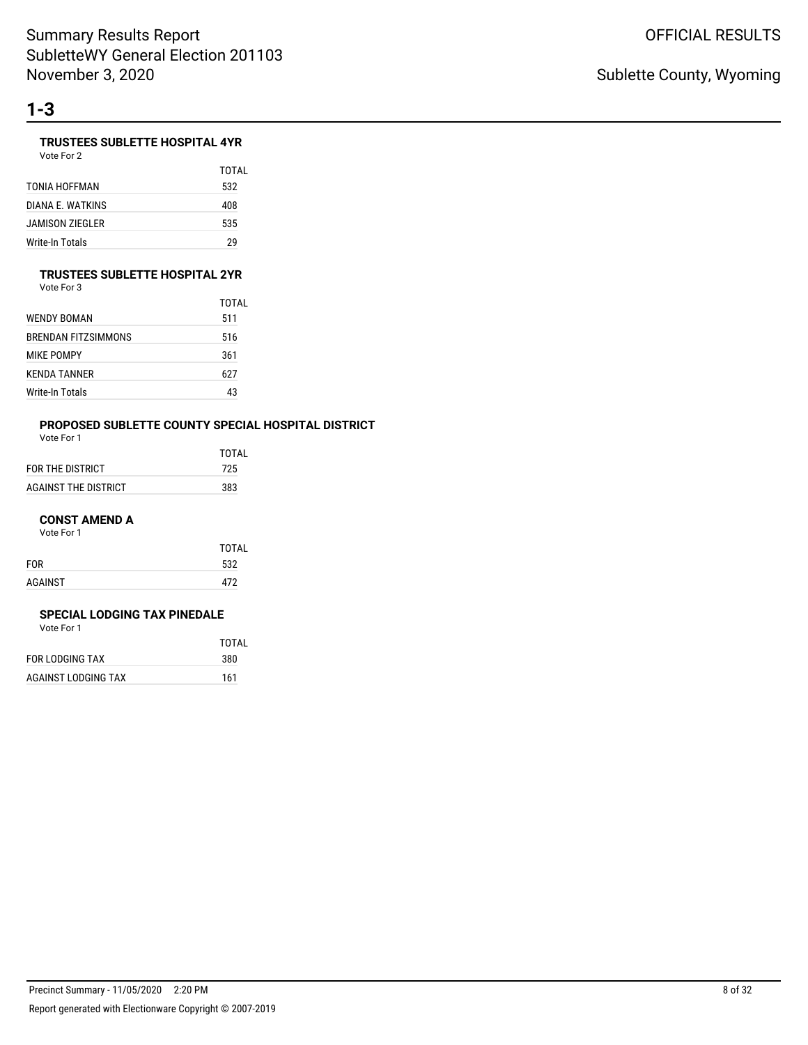## **TRUSTEES SUBLETTE HOSPITAL 4YR**

Vote For 2

|                  | TOTAL |
|------------------|-------|
| TONIA HOFFMAN    | 532   |
| DIANA E. WATKINS | 408   |
| JAMISON ZIEGLER  | 535   |
| Write-In Totals  | 29    |

### **TRUSTEES SUBLETTE HOSPITAL 2YR**

| Vote For 3 |  |
|------------|--|
|            |  |

|                     | TOTAI |
|---------------------|-------|
| WENDY BOMAN         | 511   |
| BRENDAN FITZSIMMONS | 516   |
| MIKE POMPY          | 361   |
| KENDA TANNER        | 627   |
| Write-In Totals     | 43    |

# **PROPOSED SUBLETTE COUNTY SPECIAL HOSPITAL DISTRICT**

|                      | TOTAI |
|----------------------|-------|
| FOR THE DISTRICT     | 725   |
| AGAINST THE DISTRICT | 383   |

#### **CONST AMEND A**

Vote For 1

|            | <b>TOTAL</b> |
|------------|--------------|
| <b>FOR</b> | 532          |
| AGAINST    | 472          |
|            |              |

#### **SPECIAL LODGING TAX PINEDALE**

|                     | TOTAL |
|---------------------|-------|
| FOR LODGING TAX     | 380   |
| AGAINST LODGING TAX | 161   |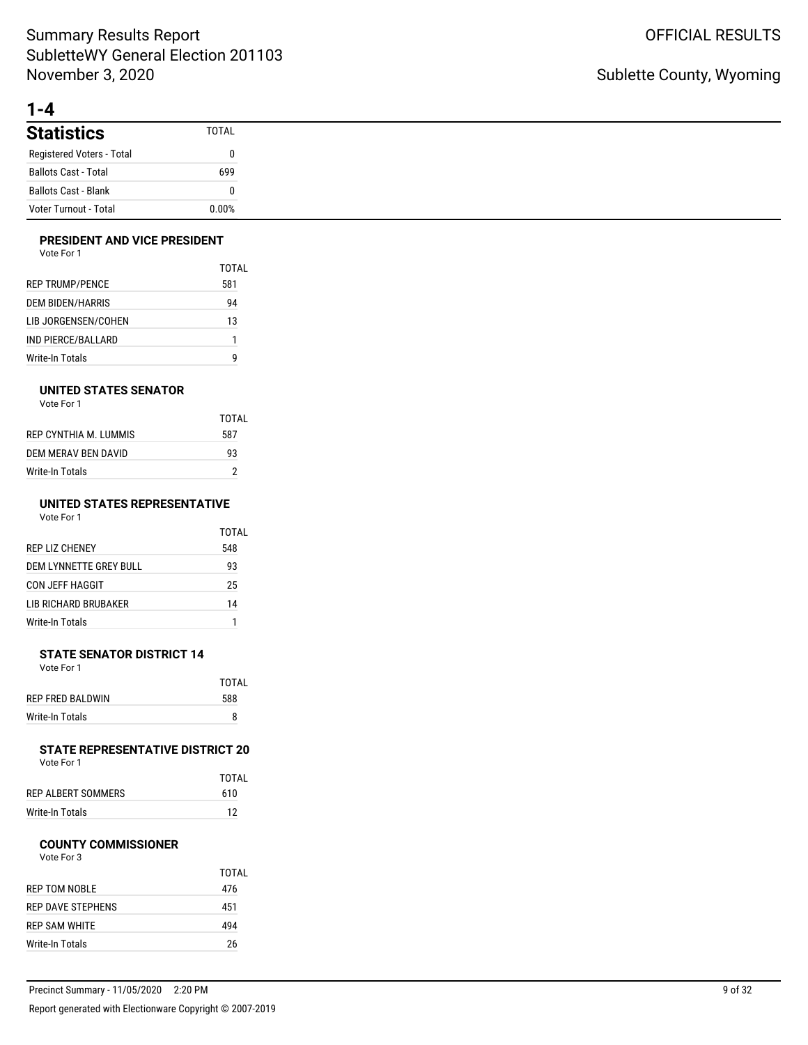# **1-4**

| <b>Statistics</b>           | <b>TOTAL</b> |
|-----------------------------|--------------|
| Registered Voters - Total   | 0            |
| <b>Ballots Cast - Total</b> | 699          |
| <b>Ballots Cast - Blank</b> | 0            |
| Voter Turnout - Total       | 0.00%        |

### **PRESIDENT AND VICE PRESIDENT**

| Vote For 1 |  |
|------------|--|
|------------|--|

|                         | TOTAL |
|-------------------------|-------|
| <b>REP TRUMP/PENCE</b>  | 581   |
| <b>DEM BIDEN/HARRIS</b> | 94    |
| LIB JORGENSEN/COHEN     | 13    |
| IND PIERCE/BALLARD      | 1     |
| Write-In Totals         | q     |

#### **UNITED STATES SENATOR**

| Vote For 1 |  |
|------------|--|
|------------|--|

|                       | TOTAL |
|-----------------------|-------|
| REP CYNTHIA M. LUMMIS | 587   |
| DEM MERAV BEN DAVID   | 93    |
| Write-In Totals       | っ     |

#### **UNITED STATES REPRESENTATIVE** Vote For 1

| vuuttuu 1              |       |
|------------------------|-------|
|                        | TOTAL |
| <b>REP LIZ CHENEY</b>  | 548   |
| DEM LYNNETTE GREY BULL | 93    |
| CON JEFF HAGGIT        | 25    |
| LIB RICHARD BRUBAKER   | 14    |
|                        |       |

Write-In Totals 1

#### **STATE SENATOR DISTRICT 14** Vote For 1

|                  | TOTAL |
|------------------|-------|
| REP FRED BALDWIN | 588   |
| Write-In Totals  | 8     |

#### **STATE REPRESENTATIVE DISTRICT 20** Vote For 1

|                    | TOTAL |
|--------------------|-------|
| REP ALBERT SOMMERS | 610   |
| Write-In Totals    | 12    |

#### **COUNTY COMMISSIONER**

|                      | TOTAI |
|----------------------|-------|
| REP TOM NOBLE        | 476   |
| REP DAVE STEPHENS    | 451   |
| <b>REP SAM WHITE</b> | 494   |
| Write-In Totals      | 26    |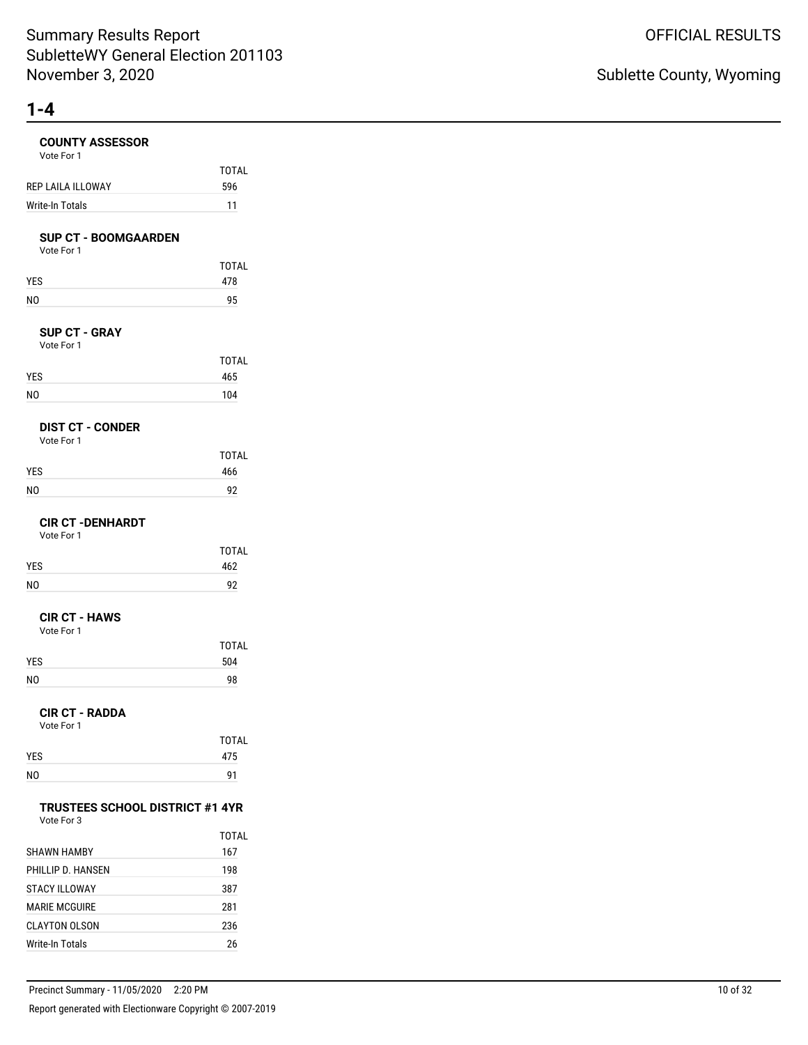| <b>COUNTY ASSESSOR</b><br>Vote For 1                 |                     |
|------------------------------------------------------|---------------------|
| REP LAILA ILLOWAY                                    | <b>TOTAL</b><br>596 |
| Write-In Totals                                      | 11                  |
|                                                      |                     |
| <b>SUP CT - BOOMGAARDEN</b><br>Vote For 1            |                     |
|                                                      | <b>TOTAL</b>        |
| YES                                                  | 478                 |
| N <sub>O</sub>                                       | 95                  |
|                                                      |                     |
| <b>SUP CT - GRAY</b><br>Vote For 1                   |                     |
|                                                      | <b>TOTAL</b>        |
| YES                                                  | 465                 |
| N <sub>O</sub>                                       | 104                 |
| <b>DIST CT - CONDER</b>                              |                     |
| Vote For 1                                           |                     |
|                                                      | <b>TOTAL</b>        |
| YES                                                  | 466                 |
| N <sub>O</sub>                                       | 92                  |
| <b>CIR CT -DENHARDT</b>                              |                     |
| Vote For 1                                           |                     |
|                                                      | <b>TOTAL</b>        |
| YES                                                  | 462                 |
| N <sub>O</sub>                                       | 92                  |
| <b>CIR CT - HAWS</b>                                 |                     |
| Vote For 1                                           |                     |
| YES                                                  | <b>TOTAL</b><br>504 |
| N <sub>O</sub>                                       | 98                  |
|                                                      |                     |
| <b>CIR CT - RADDA</b>                                |                     |
| Vote For 1                                           | <b>TOTAL</b>        |
| YES                                                  | 475                 |
| NO                                                   | 91                  |
|                                                      |                     |
| <b>TRUSTEES SCHOOL DISTRICT #1 4YR</b><br>Vote For 3 |                     |
|                                                      | TOTAL               |
| <b>SHAWN HAMBY</b>                                   | 167                 |
| PHILLIP D. HANSEN                                    | 198                 |
| <b>STACY ILLOWAY</b>                                 | 387                 |
| <b>MARIE MCGUIRE</b>                                 | 281                 |
| <b>CLAYTON OLSON</b>                                 | 236                 |

Write-In Totals 26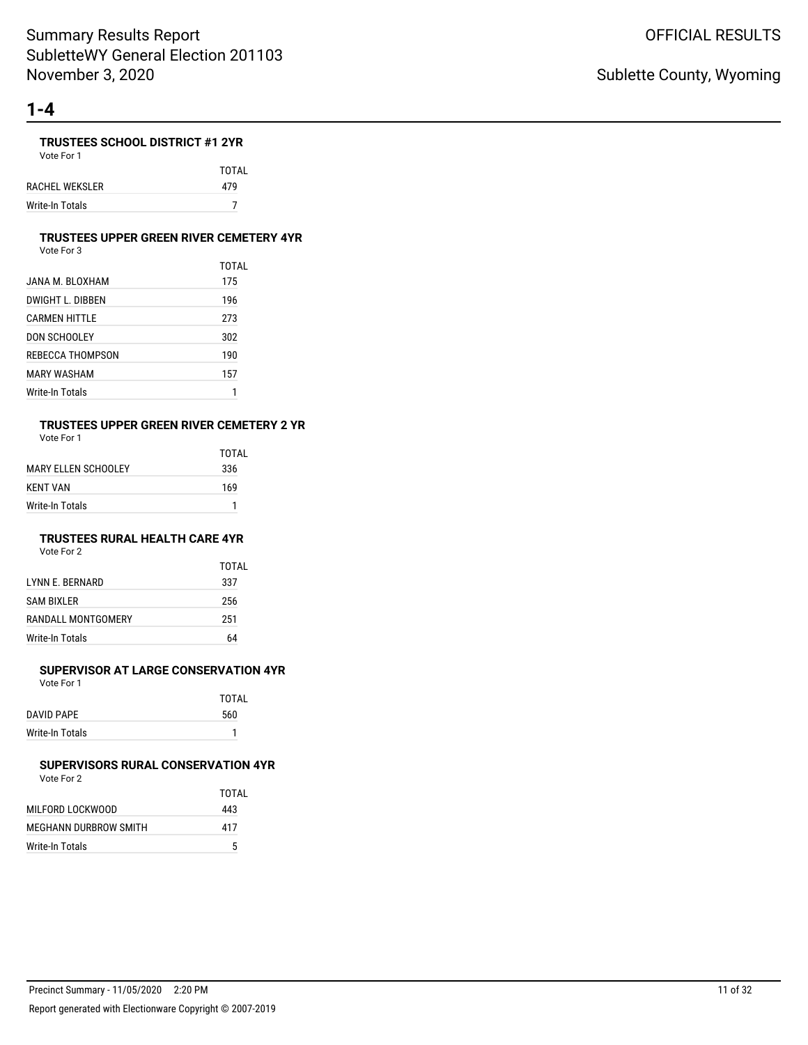### **TRUSTEES SCHOOL DISTRICT #1 2YR**

Vote For 1

TOTAL RACHEL WEKSLER 479 Write-In Totals 7

#### **TRUSTEES UPPER GREEN RIVER CEMETERY 4YR**

Vote For 3

|                  | TOTAL |
|------------------|-------|
| JANA M. BLOXHAM  | 175   |
| DWIGHT L. DIBBEN | 196   |
| CARMEN HITTLE    | 273   |
| DON SCHOOLEY     | 302   |
| REBECCA THOMPSON | 190   |
| MARY WASHAM      | 157   |
| Write-In Totals  |       |

# **TRUSTEES UPPER GREEN RIVER CEMETERY 2 YR**

Vote For 1

|                        | TOTAI |
|------------------------|-------|
| MARY FI I FN SCHOOI FY | 336   |
| <b>KENT VAN</b>        | 169   |
| Write-In Totals        | 1     |

### **TRUSTEES RURAL HEALTH CARE 4YR**

Vote For 2

|                    | TOTAL |
|--------------------|-------|
| LYNN E. BERNARD    | 337   |
| <b>SAM BIXLER</b>  | 256   |
| RANDALL MONTGOMERY | 251   |
| Write-In Totals    | 64    |

#### **SUPERVISOR AT LARGE CONSERVATION 4YR**

Vote For 1

|                 | <b>TOTAL</b> |
|-----------------|--------------|
| DAVID PAPE      | 560          |
| Write-In Totals |              |
|                 |              |

#### **SUPERVISORS RURAL CONSERVATION 4YR** Vote For 2

|                       | TOTAI |
|-----------------------|-------|
| MILFORD LOCKWOOD      | 443   |
| MEGHANN DURBROW SMITH | 417   |
| Write-In Totals       | 5     |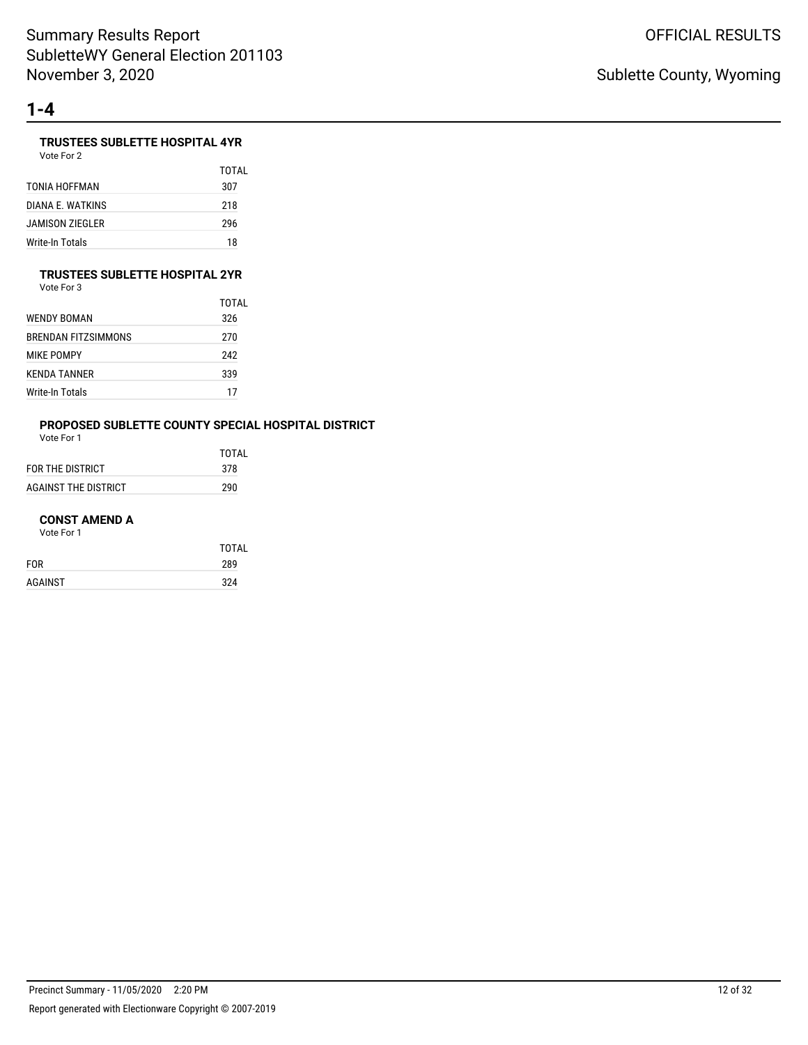# **TRUSTEES SUBLETTE HOSPITAL 4YR**

| Vote For 2 |  |
|------------|--|
|            |  |

|                  | TOTAL |
|------------------|-------|
| TONIA HOFFMAN    | 307   |
| DIANA F. WATKINS | 218   |
| JAMISON ZIEGLER  | 296   |
| Write-In Totals  | 18    |

### **TRUSTEES SUBLETTE HOSPITAL 2YR**

Vote For 3

|                     | TOTAL |
|---------------------|-------|
| WENDY BOMAN         | 326   |
| BRENDAN FITZSIMMONS | 270   |
| <b>MIKE POMPY</b>   | 242   |
| KFNDA TANNFR        | 339   |
| Write-In Totals     | 17    |

# **PROPOSED SUBLETTE COUNTY SPECIAL HOSPITAL DISTRICT**

Vote For 1

|                      | TOTAI |
|----------------------|-------|
| FOR THE DISTRICT     | 378   |
| AGAINST THE DISTRICT | 290   |

#### **CONST AMEND A**

|            | <b>TOTAL</b> |
|------------|--------------|
| <b>FOR</b> | 289          |
| AGAINST    | 324          |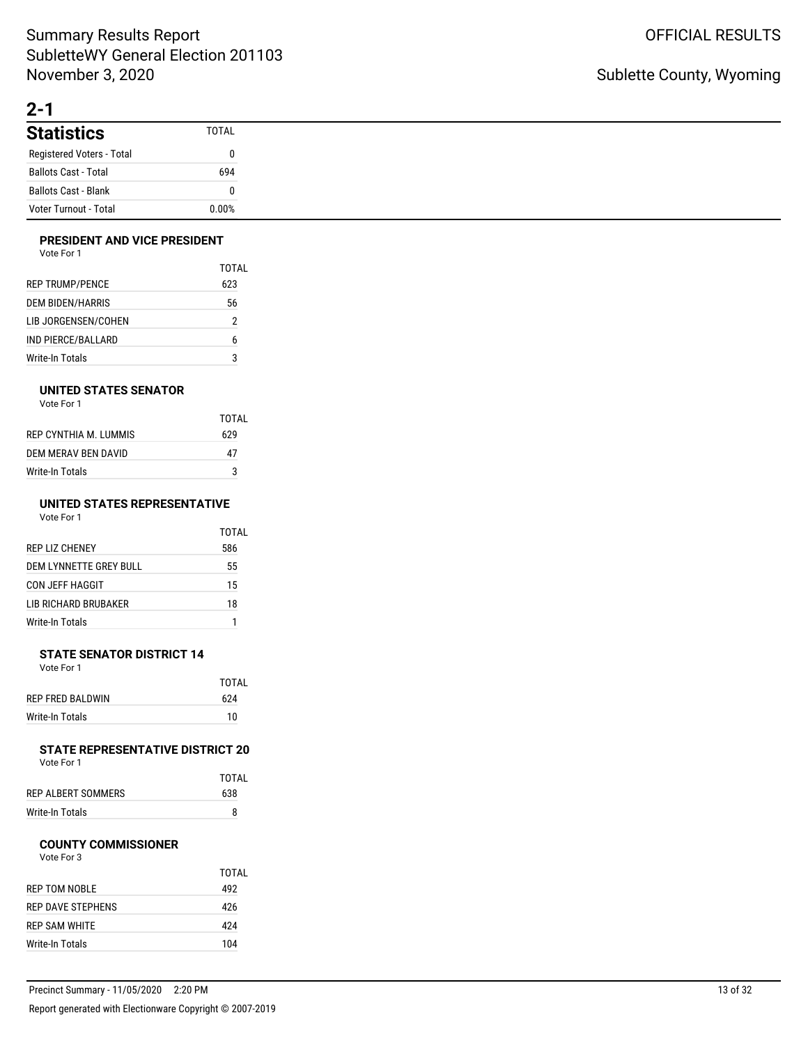# **2-1**

| <b>Statistics</b>            | <b>TOTAL</b> |
|------------------------------|--------------|
| Registered Voters - Total    |              |
| <b>Ballots Cast - Total</b>  | 694          |
| <b>Ballots Cast - Blank</b>  |              |
| <b>Voter Turnout - Total</b> | 0.00%        |

### **PRESIDENT AND VICE PRESIDENT**

| Vote For 1 |  |
|------------|--|
|------------|--|

|                        | TOTAI |
|------------------------|-------|
| <b>REP TRUMP/PENCE</b> | 623   |
| DEM BIDEN/HARRIS       | 56    |
| LIB JORGENSEN/COHEN    | 2     |
| IND PIERCE/BALLARD     | 6     |
| Write-In Totals        | 3     |

### **UNITED STATES SENATOR**

| Vote For 1 |  |
|------------|--|
|------------|--|

|                      | TOTAL |
|----------------------|-------|
| REP CYNTHIA M TUMMIS | 629   |
| DEM MERAV BEN DAVID  | 47    |
| Write-In Totals      | 3     |

#### **UNITED STATES REPRESENTATIVE** Vote For 1

|                        | TOTAL |
|------------------------|-------|
| <b>REP LIZ CHENEY</b>  | 586   |
| DEM LYNNETTE GREY BULL | 55    |
| CON JEFF HAGGIT        | 15    |
| LIB RICHARD BRUBAKER   | 18    |
| Write-In Totals        |       |

#### **STATE SENATOR DISTRICT 14** Vote For 1

|                  | TOTAI |
|------------------|-------|
| REP FRED BALDWIN | 624   |
| Write-In Totals  | 10    |

#### **STATE REPRESENTATIVE DISTRICT 20** Vote For 1

|                    | TOTAL |
|--------------------|-------|
| REP ALBERT SOMMERS | 638   |
| Write-In Totals    | 8     |

#### **COUNTY COMMISSIONER**

|                        | TOTAI |
|------------------------|-------|
| REP TOM NOBLE          | 492   |
| REP DAVE STEPHENS      | 426   |
| <b>REP SAM WHITE</b>   | 424   |
| <b>Write-In Totals</b> | 104   |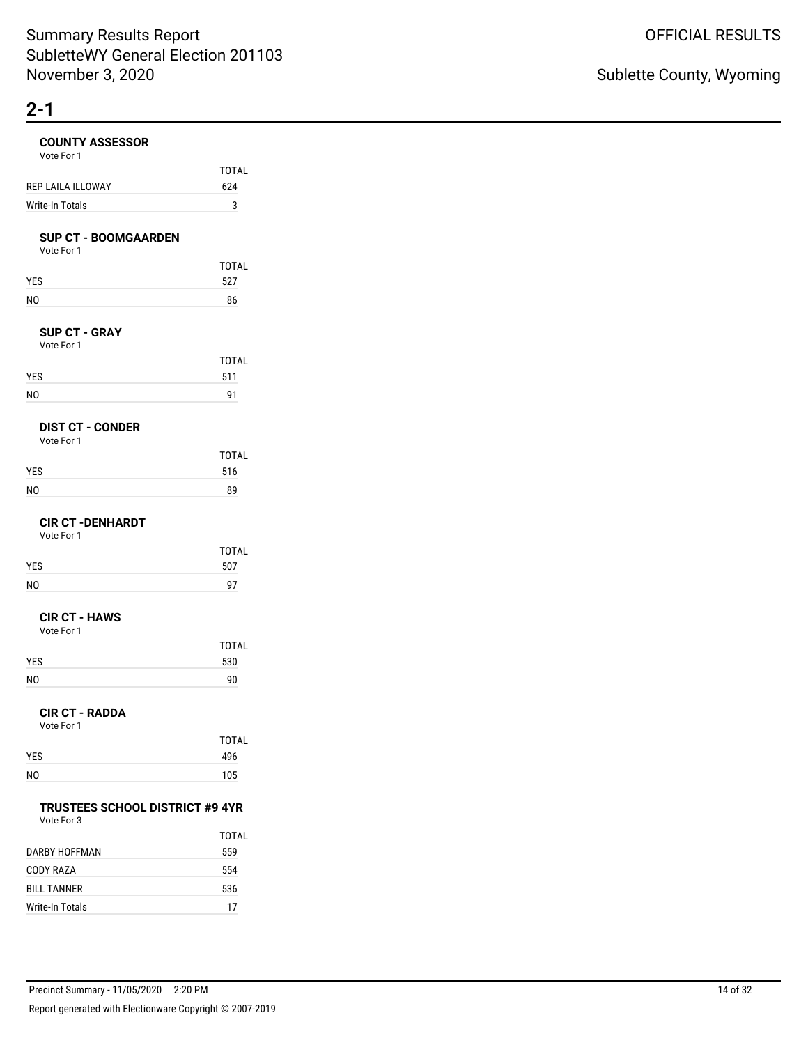# **COUNTY ASSESSOR**

| <b>COUNTY ASSESSOR</b><br>Vote For 1                 |              |
|------------------------------------------------------|--------------|
|                                                      | TOTAL        |
| REP LAILA ILLOWAY                                    | 624          |
| <b>Write-In Totals</b>                               | 3            |
|                                                      |              |
| <b>SUP CT - BOOMGAARDEN</b><br>Vote For 1            |              |
| YES                                                  | TOTAL<br>527 |
| NO                                                   | 86           |
|                                                      |              |
| <b>SUP CT - GRAY</b><br>Vote For 1                   |              |
| YES                                                  | TOTAL<br>511 |
| NO                                                   | 91           |
|                                                      |              |
| <b>DIST CT - CONDER</b><br>Vote For 1                |              |
|                                                      | <b>TOTAL</b> |
| YES                                                  | 516          |
| NO                                                   | 89           |
| <b>CIR CT - DENHARDT</b><br>Vote For 1               |              |
|                                                      | TOTAL        |
| YES                                                  | 507          |
| NO                                                   | 97           |
| <b>CIR CT - HAWS</b><br>Vote For 1                   |              |
|                                                      | TOTAL        |
| YES                                                  | 530          |
| NO                                                   | 90           |
| <b>CIR CT - RADDA</b><br>Vote For 1                  |              |
|                                                      | TOTAL        |
| YES                                                  | 496          |
| NO                                                   | 105          |
|                                                      |              |
| <b>TRUSTEES SCHOOL DISTRICT #9 4YR</b><br>Vote For 3 |              |
|                                                      | TOTAL        |
| <b>DARBY HOFFMAN</b>                                 | 559          |

| Precinct Summary - 11/05/2020 2:20 PM                    | 14 of 32 |
|----------------------------------------------------------|----------|
| Report generated with Electionware Copyright © 2007-2019 |          |

CODY RAZA 554 BILL TANNER 536 Write-In Totals 17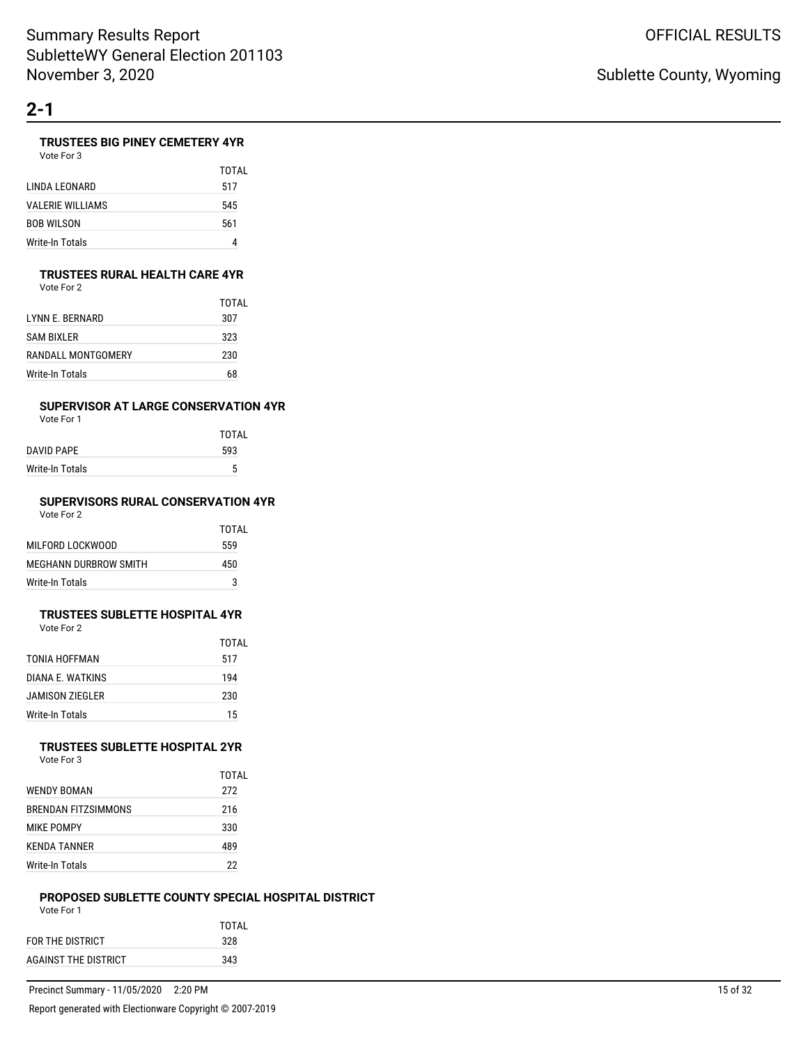# **TRUSTEES BIG PINEY CEMETERY 4YR**

TOTAL

| Vote For 3          |     |
|---------------------|-----|
|                     | TOT |
| I INDA I FONARD     | 517 |
| VAI ERIE WII LIAMS. | 545 |

| VALERIE WILLIAMS | 545 |
|------------------|-----|
| BOB WILSON       | 561 |
| Write-In Totals  |     |

### **TRUSTEES RURAL HEALTH CARE 4YR**

Vote For 2

|                    | TOTAI |
|--------------------|-------|
| I YNN F. BFRNARD   | 307   |
| <b>SAM BIXLER</b>  | 323   |
| RANDALL MONTGOMERY | 230   |
| Write-In Totals    | 68    |

### **SUPERVISOR AT LARGE CONSERVATION 4YR**

Vote For 1

|                 | TOTAL |
|-----------------|-------|
| DAVID PAPE      | 593   |
| Write-In Totals | 5     |
|                 |       |

#### **SUPERVISORS RURAL CONSERVATION 4YR** Vote For 2

| VOTE FOL 2            |       |
|-----------------------|-------|
|                       | TOTAL |
| MILFORD LOCKWOOD      | 559   |
| MEGHANN DURBROW SMITH | 450   |
| Write-In Totals       | ঽ     |

#### **TRUSTEES SUBLETTE HOSPITAL 4YR** Vote For 2

|                  | TOTAL |
|------------------|-------|
| TONIA HOFFMAN    | 517   |
| DIANA F. WATKINS | 194   |
| JAMISON ZIEGLER  | 230   |
| Write-In Totals  | 15    |

#### **TRUSTEES SUBLETTE HOSPITAL 2YR** Vote For 3

| <b>WENDY BOMAN</b>  | TOTAI<br>272 |
|---------------------|--------------|
| BRENDAN FITZSIMMONS | 216          |
| <b>MIKE POMPY</b>   | 330          |
| <b>KENDA TANNER</b> | 489          |
| Write-In Totals     | 22           |

#### **PROPOSED SUBLETTE COUNTY SPECIAL HOSPITAL DISTRICT** Vote For 1

| VULE FUI I           |       |
|----------------------|-------|
|                      | TOTAI |
| FOR THE DISTRICT     | 328   |
| AGAINST THE DISTRICT | 343   |
|                      |       |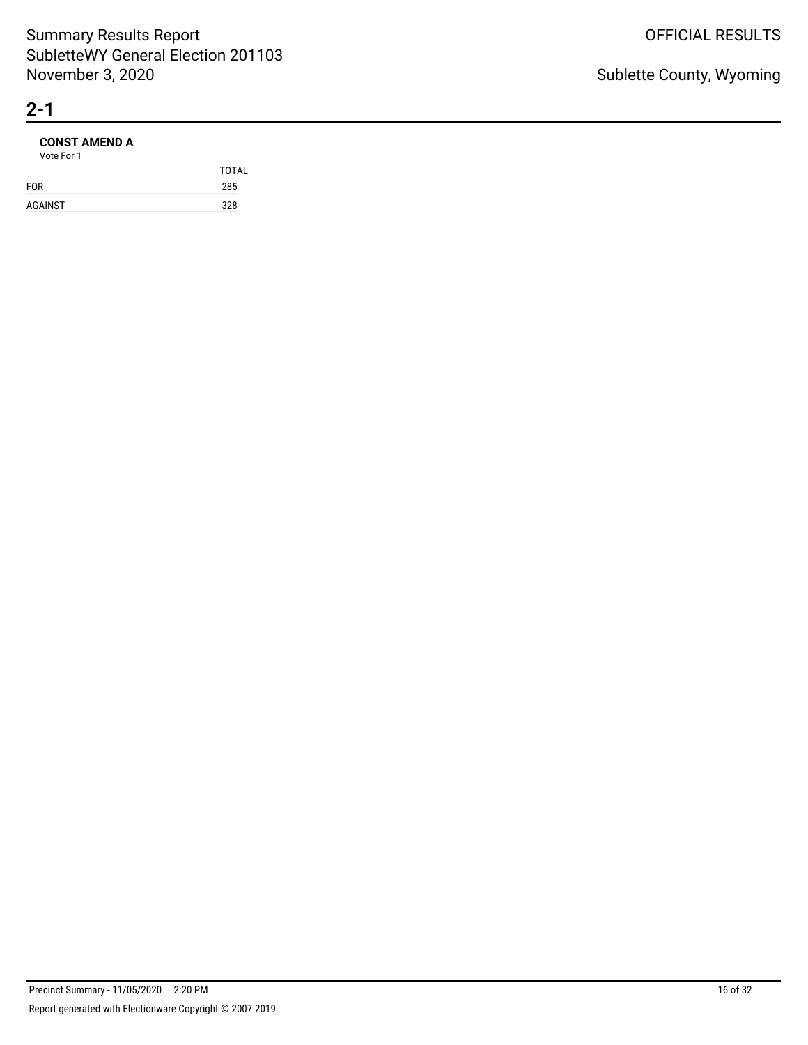### **CONST AMEND A**

| Vote For 1 |              |
|------------|--------------|
|            | <b>TOTAL</b> |
| <b>FOR</b> | 285          |
| AGAINST    | 328          |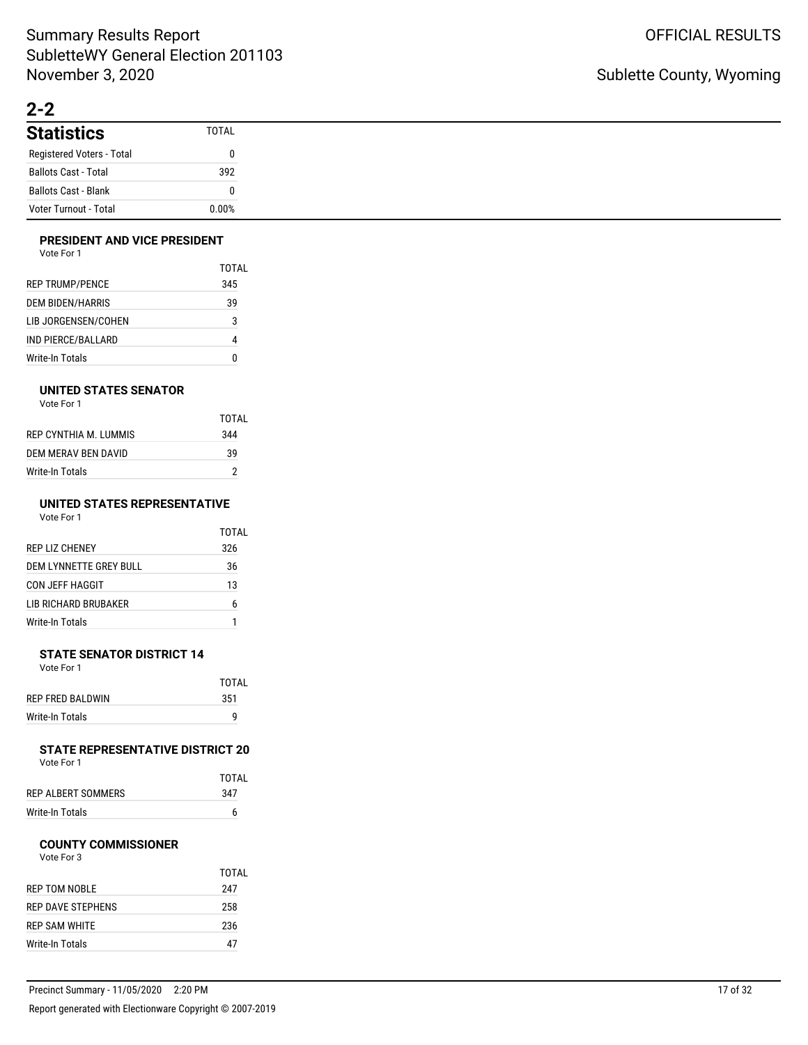# **2-2**

| <b>Statistics</b>           | <b>TOTAL</b> |
|-----------------------------|--------------|
| Registered Voters - Total   |              |
| <b>Ballots Cast - Total</b> | 392          |
| <b>Ballots Cast - Blank</b> |              |
| Voter Turnout - Total       | 0.00%        |

### **PRESIDENT AND VICE PRESIDENT**

| Vote For 1 |  |
|------------|--|
|------------|--|

|                         | TOTAI |
|-------------------------|-------|
| <b>REP TRUMP/PENCE</b>  | 345   |
| <b>DEM BIDEN/HARRIS</b> | 39    |
| LIB JORGENSEN/COHEN     | 3     |
| IND PIERCE/BALLARD      |       |
| Write-In Totals         | N     |

### **UNITED STATES SENATOR**

| Vote For 1 |  |
|------------|--|
|            |  |

|                       | TOTAL |
|-----------------------|-------|
| REP CYNTHIA M. LUMMIS | 344   |
| DEM MERAV BEN DAVID   | 39    |
| Write-In Totals       |       |

#### **UNITED STATES REPRESENTATIVE** Vote For 1

| $\sim$<br>×<br>$\sim$ | 1 U U U<br>$\sim$ |  |
|-----------------------|-------------------|--|
|                       |                   |  |
|                       |                   |  |
|                       |                   |  |

|                             | TOTAI |
|-----------------------------|-------|
| <b>REP LIZ CHENEY</b>       | 326   |
| DEM LYNNETTE GREY BULL      | 36    |
| CON JEFF HAGGIT             | 13    |
| <b>LIB RICHARD BRUBAKER</b> | 6     |
| Write-In Totals             |       |

#### **STATE SENATOR DISTRICT 14** Vote For 1

|                  | TOTAL |
|------------------|-------|
| REP FRED BALDWIN | 351   |
| Write-In Totals  | q     |

#### **STATE REPRESENTATIVE DISTRICT 20** Vote For 1

|                    | TOTAL |
|--------------------|-------|
| REP ALBERT SOMMERS | 347   |
| Write-In Totals    | 6     |

### **COUNTY COMMISSIONER**

|                      | TOTAL |
|----------------------|-------|
| <b>REP TOM NOBLE</b> | 247   |
| REP DAVE STEPHENS    | 258   |
| REP SAM WHITE        | 236   |
| Write-In Totals      | 47    |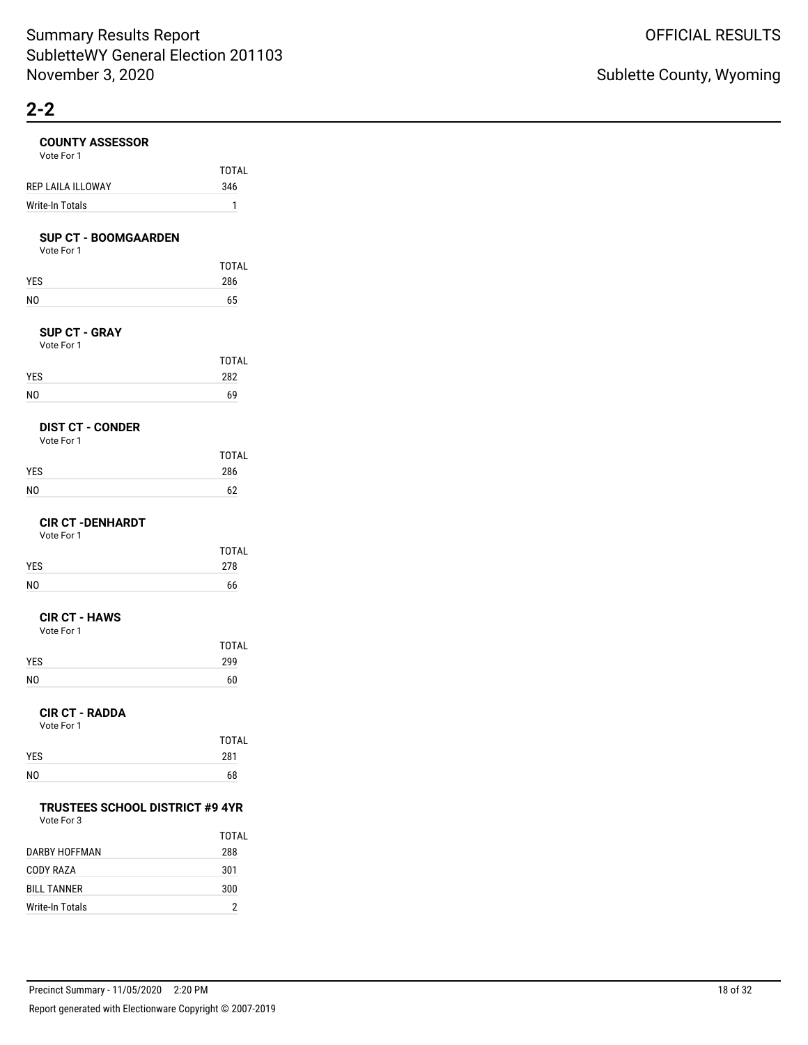#### **COUNTY ASSESSOR**

| <b>COUNTY ASSESSOR</b><br>Vote For 1                 |              |
|------------------------------------------------------|--------------|
|                                                      | TOTAL        |
| REP LAILA ILLOWAY                                    | 346          |
| <b>Write-In Totals</b>                               | 1            |
|                                                      |              |
| <b>SUP CT - BOOMGAARDEN</b><br>Vote For 1            |              |
|                                                      | TOTAL        |
| YES                                                  | 286          |
| NO                                                   | 65           |
|                                                      |              |
| <b>SUP CT - GRAY</b><br>Vote For 1                   |              |
|                                                      | TOTAL        |
| YES                                                  | 282          |
| NO                                                   | 69           |
|                                                      |              |
| <b>DIST CT - CONDER</b>                              |              |
| Vote For 1                                           | <b>TOTAL</b> |
| YES                                                  | 286          |
| NO                                                   | 62           |
|                                                      |              |
| <b>CIR CT - DENHARDT</b>                             |              |
| Vote For 1                                           |              |
|                                                      | TOTAL        |
| YES                                                  | 278          |
| NO                                                   | 66           |
| <b>CIR CT - HAWS</b>                                 |              |
| Vote For 1                                           |              |
|                                                      | TOTAL        |
| YES                                                  | 299          |
| NO                                                   | 60           |
|                                                      |              |
| <b>CIR CT - RADDA</b><br>Vote For 1                  |              |
|                                                      | TOTAL        |
| YES                                                  | 281          |
| N0                                                   | 68           |
|                                                      |              |
| <b>TRUSTEES SCHOOL DISTRICT #9 4YR</b><br>Vote For 3 |              |
|                                                      | TOTAL        |
| DARBY HOFFMAN                                        | 288          |
| CODY RAZA                                            | 301          |

| Precinct Summary - 11/05/2020<br>2:20 PM                 | 18 of 32 |
|----------------------------------------------------------|----------|
| Report generated with Electionware Copyright © 2007-2019 |          |

BILL TANNER 300 Write-In Totals 2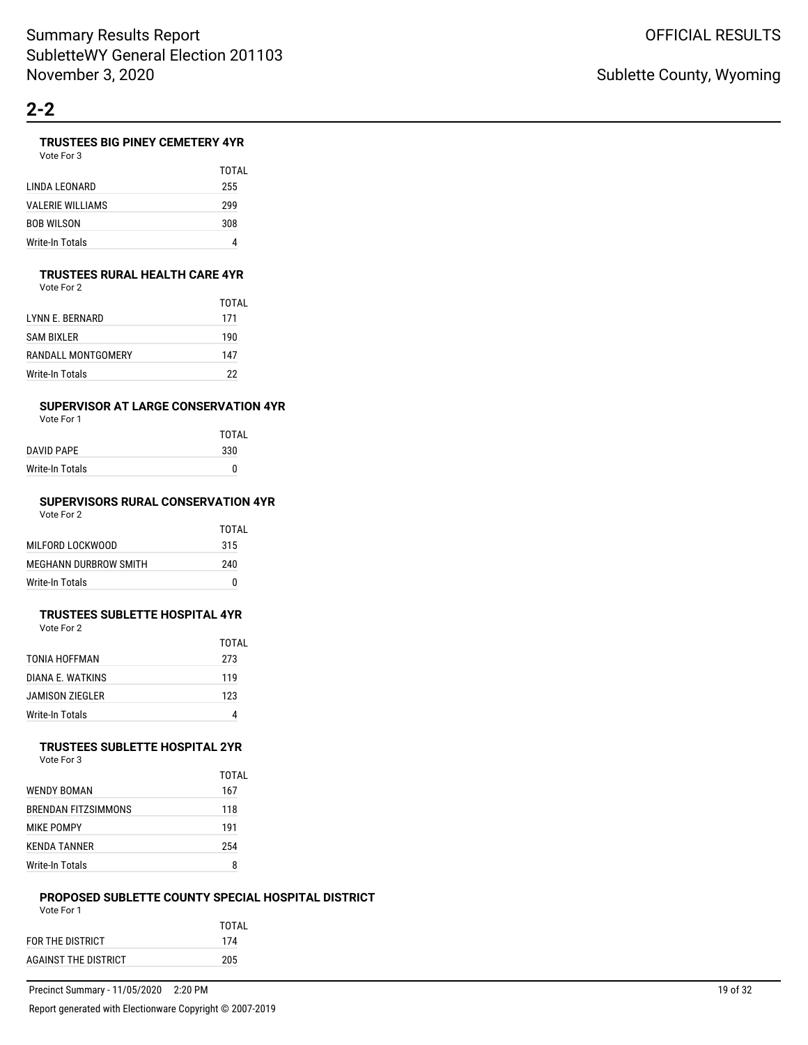### **TRUSTEES BIG PINEY CEMETERY 4YR**

| Vote For 3 |  |
|------------|--|
|------------|--|

|                         | TOTAI |
|-------------------------|-------|
| LINDA LEONARD           | 255   |
| <b>VALERIE WILLIAMS</b> | 299   |
| <b>BOB WILSON</b>       | 308   |
| Write-In Totals         | 4     |

#### **TRUSTEES RURAL HEALTH CARE 4YR**

Vote For 2

|                    | TOTAI |
|--------------------|-------|
| I YNN F. BFRNARD   | 171   |
| SAM BIXLER         | 190   |
| RANDALL MONTGOMERY | 147   |
| Write-In Totals    | 22    |

### **SUPERVISOR AT LARGE CONSERVATION 4YR**

Vote For 1

|                 | <b>TOTAL</b> |
|-----------------|--------------|
| DAVID PAPE      | 330          |
| Write-In Totals | 0            |
|                 |              |

# **SUPERVISORS RURAL CONSERVATION 4YR**

| Vote For 2 |  |
|------------|--|
|------------|--|

| MILFORD LOCKWOOD      | 315 |
|-----------------------|-----|
| MEGHANN DURBROW SMITH | 240 |
| Write-In Totals       | n   |

#### **TRUSTEES SUBLETTE HOSPITAL 4YR** Vote For 2

|                  | TOTAL |
|------------------|-------|
| TONIA HOFFMAN    | 273   |
| DIANA E. WATKINS | 119   |
| JAMISON ZIEGLER  | 123   |
| Write-In Totals  |       |

#### **TRUSTEES SUBLETTE HOSPITAL 2YR** Vote For 3

|                     | TOTAL |
|---------------------|-------|
| WENDY BOMAN         | 167   |
| BRENDAN FITZSIMMONS | 118   |
| MIKE POMPY          | 191   |
| <b>KFNDA TANNER</b> | 254   |
| Write-In Totals     | R     |

#### **PROPOSED SUBLETTE COUNTY SPECIAL HOSPITAL DISTRICT** Vote For 1

| .                    |       |
|----------------------|-------|
|                      | TOTAI |
| FOR THE DISTRICT     | 174   |
| AGAINST THE DISTRICT | 205   |
|                      |       |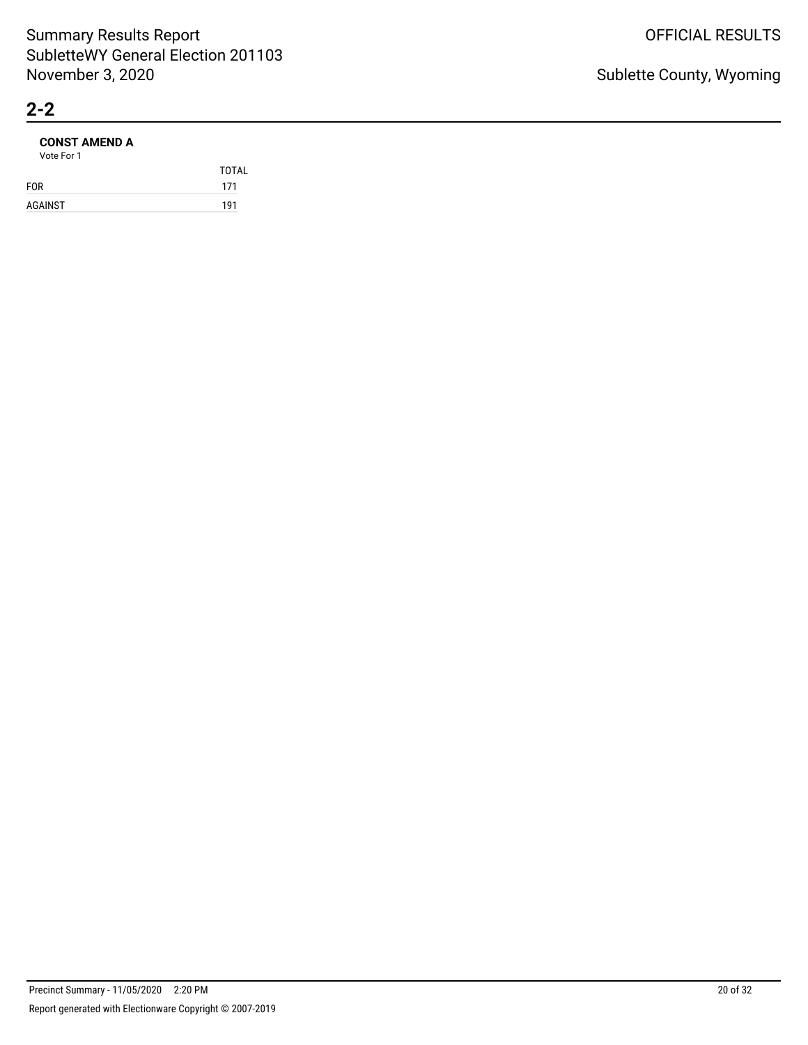### **CONST AMEND A**

|            | <b>TOTAL</b> |
|------------|--------------|
| <b>FOR</b> | 171          |
| AGAINST    | 191          |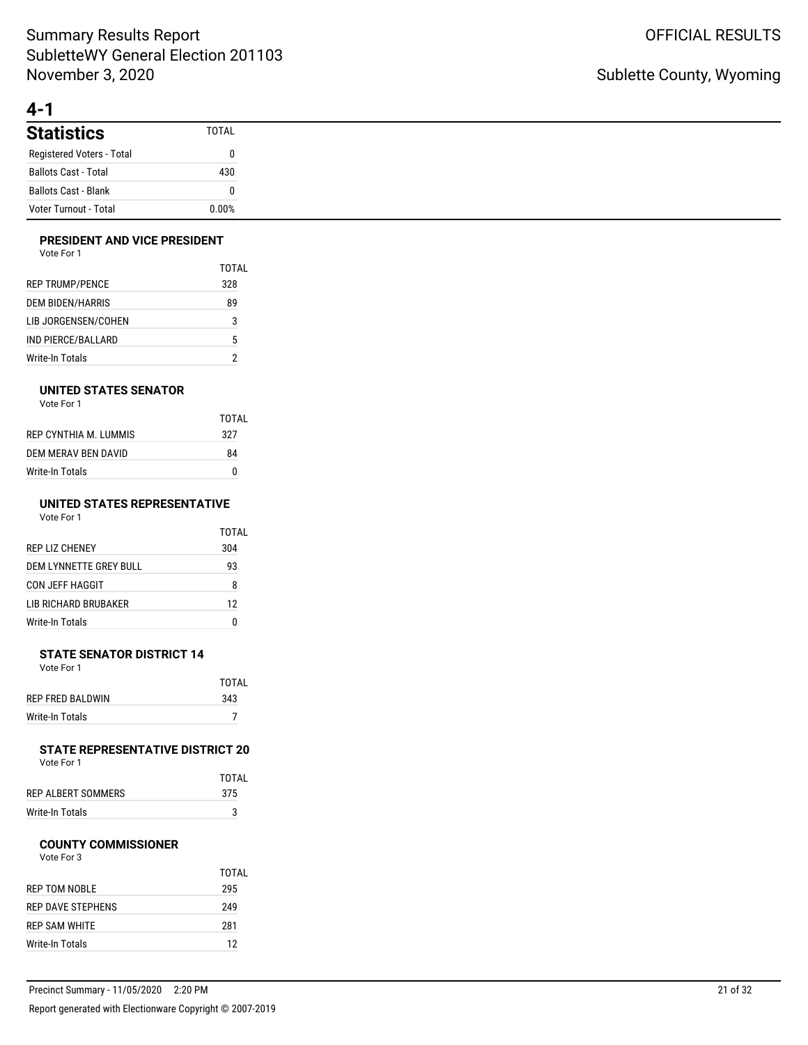# **4-1**

| <b>Statistics</b>           | <b>TOTAL</b> |
|-----------------------------|--------------|
| Registered Voters - Total   |              |
| <b>Ballots Cast - Total</b> | 430          |
| Ballots Cast - Blank        |              |
| Voter Turnout - Total       | 0.00%        |

### **PRESIDENT AND VICE PRESIDENT**

|                        | TOTAL |
|------------------------|-------|
| <b>REP TRUMP/PENCE</b> | 328   |
| DEM BIDEN/HARRIS       | 89    |
| LIB JORGENSEN/COHEN    | 3     |
| IND PIERCE/BALLARD     | 5     |
| Write-In Totals        |       |

### **UNITED STATES SENATOR**

| Vote For 1 |  |
|------------|--|
|            |  |

|                       | TOTAL |
|-----------------------|-------|
| REP CYNTHIA M. LUMMIS | 327   |
| DEM MERAV BEN DAVID   | 84    |
| Write-In Totals       | n     |

#### **UNITED STATES REPRESENTATIVE** Vote For 1

|                        | TOTAL |
|------------------------|-------|
| REP LIZ CHENEY         | 304   |
| DEM LYNNETTE GREY BULL | 93    |
| CON JEFF HAGGIT        | 8     |
| LIB RICHARD BRUBAKER   | 12    |
| Write-In Totals        |       |

#### **STATE SENATOR DISTRICT 14** Vote For 1

|                         | TOTAI |
|-------------------------|-------|
| <b>REP FRED BALDWIN</b> | 343   |
| Write-In Totals         |       |

#### **STATE REPRESENTATIVE DISTRICT 20** Vote For 1

|                    | TOTAL |
|--------------------|-------|
| REP ALBERT SOMMERS | 375   |
| Write-In Totals    |       |

### **COUNTY COMMISSIONER**

|                      | TOTAI |
|----------------------|-------|
| REP TOM NOBLE        | 295   |
| REP DAVE STEPHENS    | 249   |
| <b>REP SAM WHITE</b> | 281   |
| Write-In Totals      | 12    |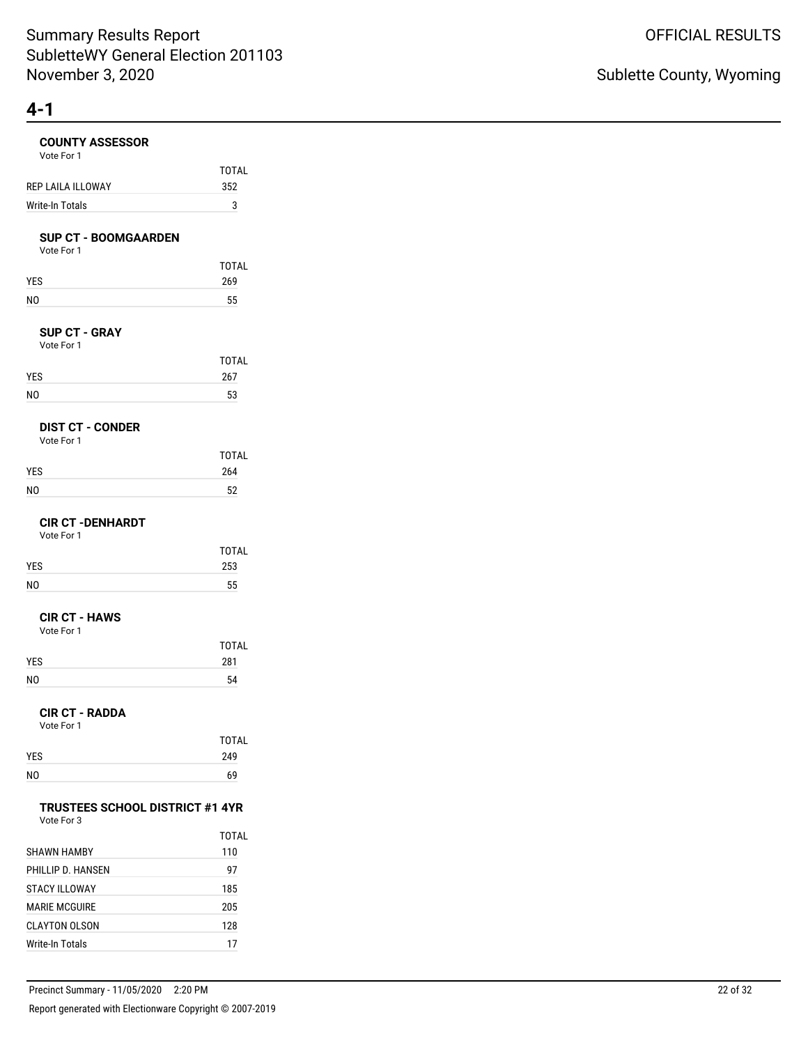| <b>COUNTY ASSESSOR</b><br>Vote For 1                 |              |
|------------------------------------------------------|--------------|
|                                                      | <b>TOTAL</b> |
| REP LAILA ILLOWAY                                    | 352          |
| Write-In Totals                                      | 3            |
| <b>SUP CT - BOOMGAARDEN</b><br>Vote For 1            |              |
|                                                      | <b>TOTAL</b> |
| YES                                                  | 269          |
| NO                                                   | 55           |
| <b>SUP CT - GRAY</b><br>Vote For 1                   |              |
|                                                      | <b>TOTAL</b> |
| YES                                                  | 267          |
| N <sub>O</sub>                                       | 53           |
| <b>DIST CT - CONDER</b><br>Vote For 1                |              |
|                                                      | <b>TOTAL</b> |
| YES                                                  | 264          |
| N <sub>O</sub>                                       | 52           |
| <b>CIR CT -DENHARDT</b><br>Vote For 1                |              |
|                                                      | <b>TOTAL</b> |
| YES                                                  | 253          |
| N <sub>O</sub>                                       | 55           |
| <b>CIR CT - HAWS</b><br>Vote For 1                   |              |
|                                                      | <b>TOTAL</b> |
| YES                                                  | 281          |
| N <sub>O</sub>                                       | 54           |
| <b>CIR CT - RADDA</b><br>Vote For 1                  |              |
|                                                      | <b>TOTAL</b> |
| YES                                                  | 249          |
| NO                                                   | 69           |
| <b>TRUSTEES SCHOOL DISTRICT #1 4YR</b><br>Vote For 3 |              |
|                                                      | TOTAL        |
| SHAWN HAMBY                                          | 110          |
| PHILLIP D. HANSEN                                    | 97           |
| <b>STACY ILLOWAY</b>                                 | 185          |
| <b>MARIE MCGUIRE</b>                                 | 205          |

CLAYTON OLSON 128 Write-In Totals 17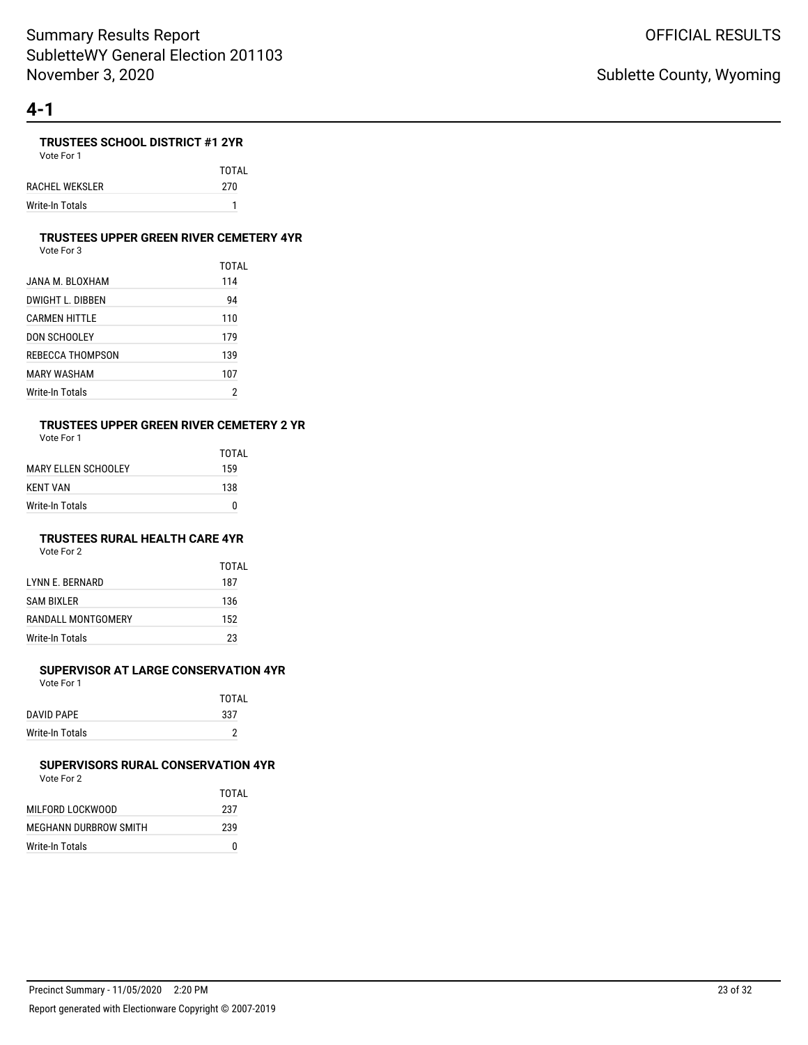### **TRUSTEES SCHOOL DISTRICT #1 2YR**

Vote For 1 TOTAL RACHEL WEKSLER 270 Write-In Totals 1

#### **TRUSTEES UPPER GREEN RIVER CEMETERY 4YR**

Vote For 3

|                  | TOTAI |
|------------------|-------|
| JANA M. BLOXHAM  | 114   |
| DWIGHT L. DIBBEN | 94    |
| CARMEN HITTLE    | 110   |
| DON SCHOOLEY     | 179   |
| REBECCA THOMPSON | 139   |
| MARY WASHAM      | 107   |
| Write-In Totals  | 2     |

# **TRUSTEES UPPER GREEN RIVER CEMETERY 2 YR**

Vote For 1

| TOTAI |
|-------|
| 159   |
| 138   |
| 0     |
|       |

### **TRUSTEES RURAL HEALTH CARE 4YR**

Vote For 2

|                         | TOTAL |
|-------------------------|-------|
| <b>I YNN E. BERNARD</b> | 187   |
| <b>SAM BIXLER</b>       | 136   |
| RANDALL MONTGOMERY      | 152   |
| Write-In Totals         | 23    |

### **SUPERVISOR AT LARGE CONSERVATION 4YR**

Vote For 1

| <b>TOTAL</b> |
|--------------|
| 337          |
| ∩            |
|              |

#### **SUPERVISORS RURAL CONSERVATION 4YR** Vote For 2

|                       | TOTAI |
|-----------------------|-------|
| MILFORD LOCKWOOD      | 237   |
| MEGHANN DURBROW SMITH | 239   |
| Write-In Totals       |       |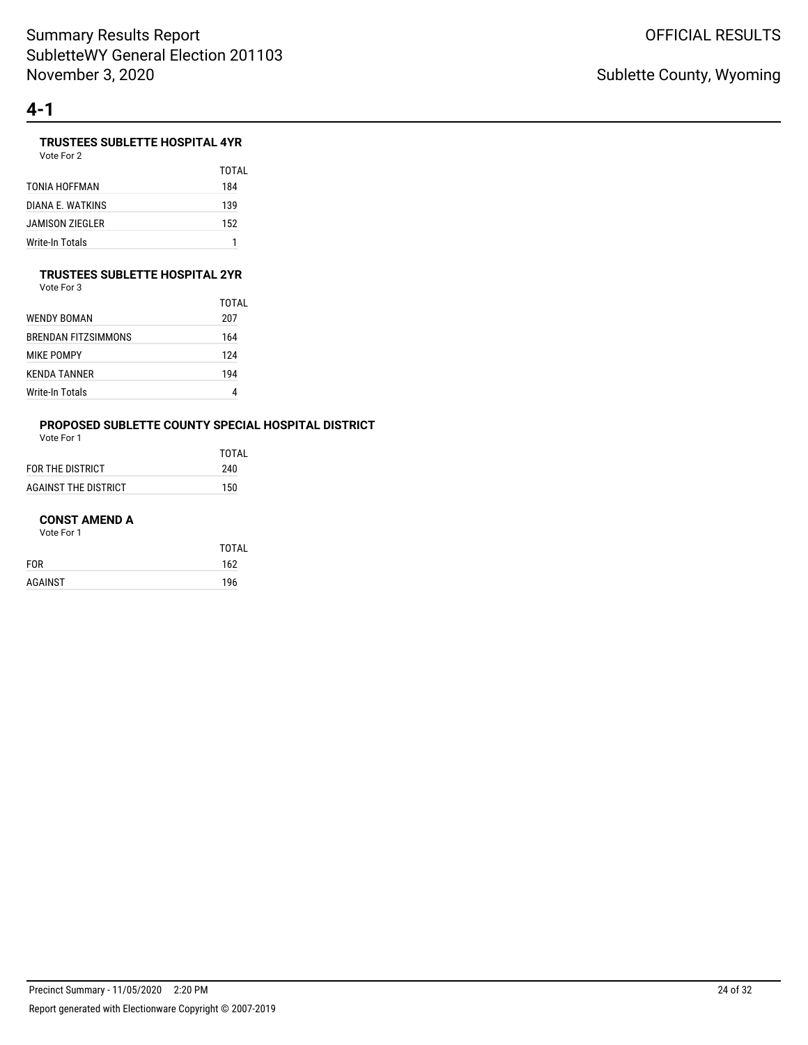# **TRUSTEES SUBLETTE HOSPITAL 4YR**

Vote For 2

|                  | TOTAI |
|------------------|-------|
| TONIA HOFFMAN    | 184   |
| DIANA F. WATKINS | 139   |
| JAMISON ZIEGLER  | 152   |
| Write-In Totals  |       |

### **TRUSTEES SUBLETTE HOSPITAL 2YR**

Vote For 3

|                     | TOTAL |
|---------------------|-------|
| WENDY BOMAN         | 207   |
| BRENDAN FITZSIMMONS | 164   |
| MIKE POMPY          | 124   |
| KENDA TANNER        | 194   |
| Write-In Totals     | 4     |

# **PROPOSED SUBLETTE COUNTY SPECIAL HOSPITAL DISTRICT**

Vote For 1

|                      | TOTAI |
|----------------------|-------|
| FOR THE DISTRICT     | 240   |
| AGAINST THE DISTRICT | 150   |

#### **CONST AMEND A**

|            | <b>TOTAL</b> |
|------------|--------------|
| <b>FOR</b> | 162          |
| AGAINST    | 196          |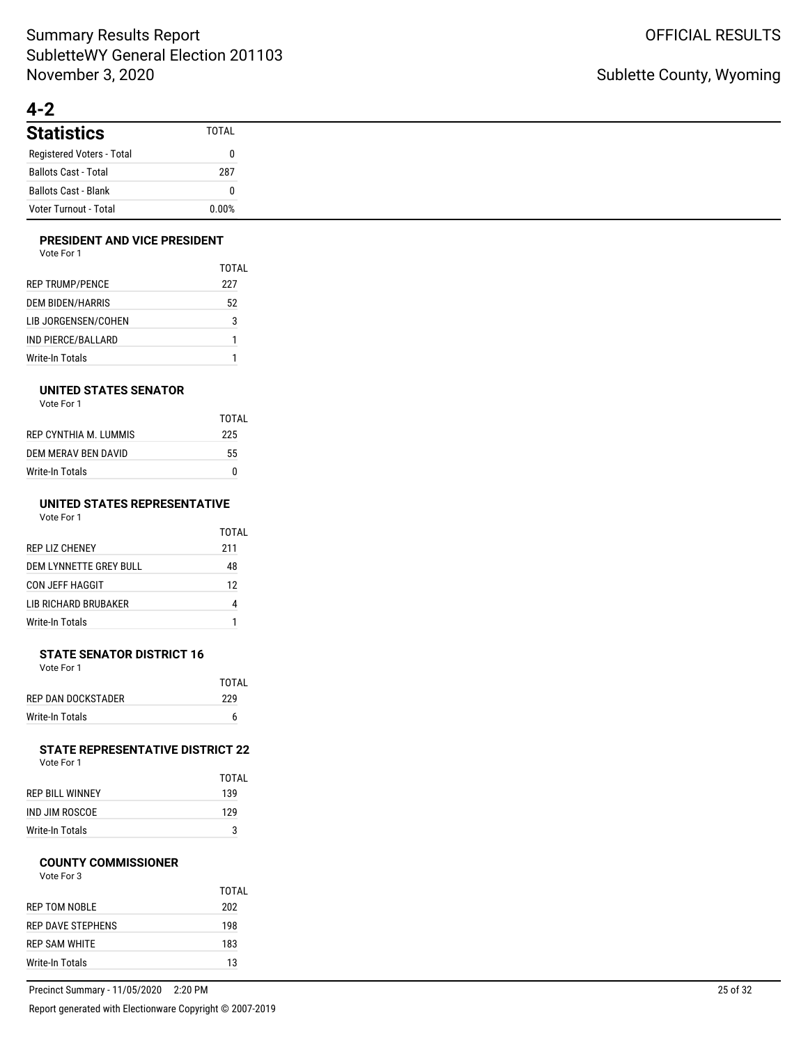# **4-2**

| <b>Statistics</b>            | <b>TOTAL</b> |
|------------------------------|--------------|
| Registered Voters - Total    |              |
| <b>Ballots Cast - Total</b>  | 287          |
| <b>Ballots Cast - Blank</b>  |              |
| <b>Voter Turnout - Total</b> | 0.00%        |

### **PRESIDENT AND VICE PRESIDENT**

| Vote For 1 |  |
|------------|--|
|------------|--|

|                         | TOTAL |
|-------------------------|-------|
| <b>REP TRUMP/PENCE</b>  | 227   |
| <b>DEM BIDEN/HARRIS</b> | 52    |
| LIB JORGENSEN/COHEN     | 3     |
| IND PIERCE/BALLARD      | 1     |
| Write-In Totals         |       |

### **UNITED STATES SENATOR**

| Vote For 1 |  |
|------------|--|
|------------|--|

| TOTAL |
|-------|
| 225   |
| 55    |
| n     |
|       |

#### **UNITED STATES REPRESENTATIVE** Vote For 1

| VULE FUII |  |
|-----------|--|
|           |  |
|           |  |
|           |  |

|                         | TOTAI |
|-------------------------|-------|
| <b>REP LIZ CHENEY</b>   | 211   |
| DEM I YNNETTE GREY BULL | 48    |
| CON JEFF HAGGIT         | 12    |
| I IB RICHARD BRUBAKER   | 4     |
| Write-In Totals         | 1     |

#### **STATE SENATOR DISTRICT 16** Vote For 1

|                    | TOTAL |
|--------------------|-------|
| REP DAN DOCKSTADER | 229   |
| Write-In Totals    | 6     |

# **STATE REPRESENTATIVE DISTRICT 22**<br>Vote For 1

| Vote For 1 |  |
|------------|--|
|            |  |

|                 | TOTAI |
|-----------------|-------|
| REP BILL WINNEY | 139   |
| IND JIM ROSCOF  | 129   |
| Write-In Totals | 3     |

#### **COUNTY COMMISSIONER**

| Vote For 3 |
|------------|
|            |

|                   | TOTAI |
|-------------------|-------|
| REP TOM NOBLE     | 202   |
| REP DAVE STEPHENS | 198   |
| REP SAM WHITE     | 183   |
| Write-In Totals   | 13    |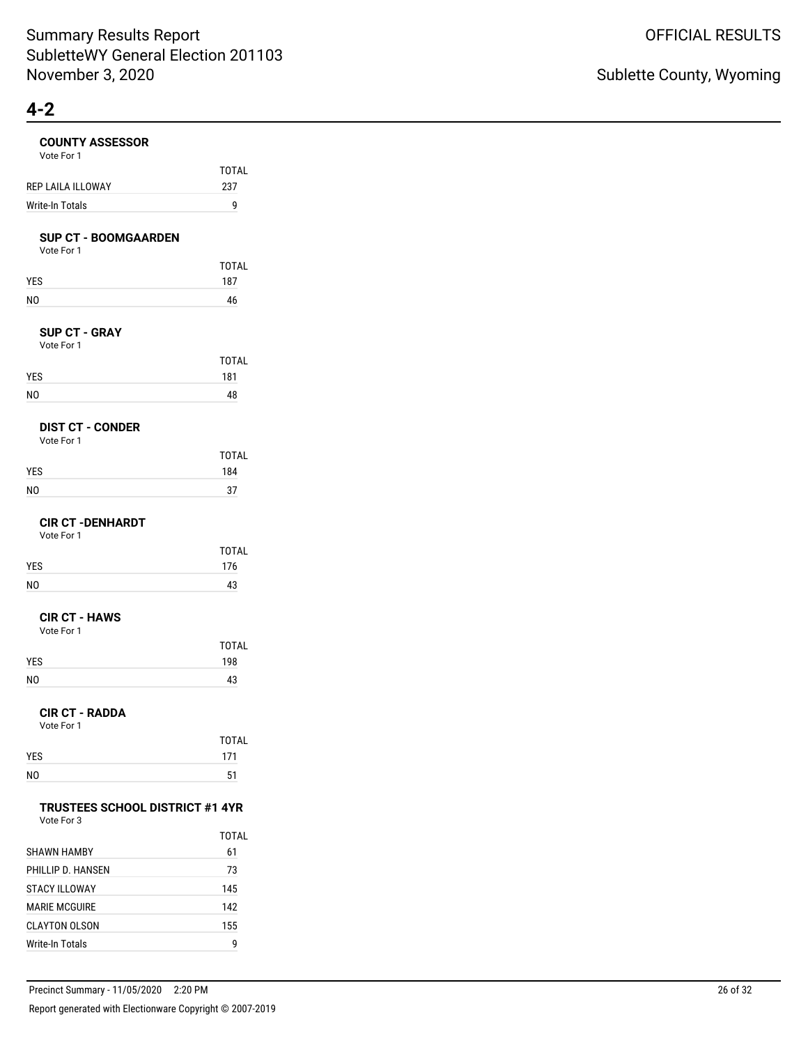# **COUNTY ASSESSOR**

| <b>COUNTY ASSESSOR</b><br>Vote For 1                 |                     |
|------------------------------------------------------|---------------------|
|                                                      | <b>TOTAL</b>        |
| REP LAILA ILLOWAY                                    | 237                 |
| Write-In Totals                                      | 9                   |
| <b>SUP CT - BOOMGAARDEN</b><br>Vote For 1            |                     |
| YES                                                  | <b>TOTAL</b><br>187 |
| NO                                                   | 46                  |
|                                                      |                     |
| <b>SUP CT - GRAY</b><br>Vote For 1                   |                     |
|                                                      | <b>TOTAL</b>        |
| YES                                                  | 181                 |
| NO                                                   | 48                  |
| <b>DIST CT - CONDER</b><br>Vote For 1                |                     |
|                                                      | <b>TOTAL</b>        |
| YES                                                  | 184                 |
| NO                                                   | 37                  |
| <b>CIR CT - DENHARDT</b><br>Vote For 1               |                     |
|                                                      | <b>TOTAL</b>        |
| YES                                                  | 176                 |
| NO                                                   | 43                  |
| <b>CIR CT - HAWS</b><br>Vote For 1                   |                     |
|                                                      | <b>TOTAL</b>        |
| YES                                                  | 198                 |
| NO                                                   | 43                  |
| <b>CIR CT - RADDA</b><br>Vote For 1                  |                     |
|                                                      | <b>TOTAL</b>        |
| <b>YFS</b>                                           | 171                 |
| NO                                                   | 51                  |
| <b>TRUSTEES SCHOOL DISTRICT #1 4YR</b><br>Vote For 3 |                     |
|                                                      | TOTAL               |
| <b>SHAWN HAMBY</b>                                   | 61                  |
| PHILLIP D. HANSEN                                    | 73                  |
| STACY ILLOWAY                                        | 145                 |
| <b>MARIE MCGUIRE</b>                                 | 142                 |

CLAYTON OLSON 155 Write-In Totals 9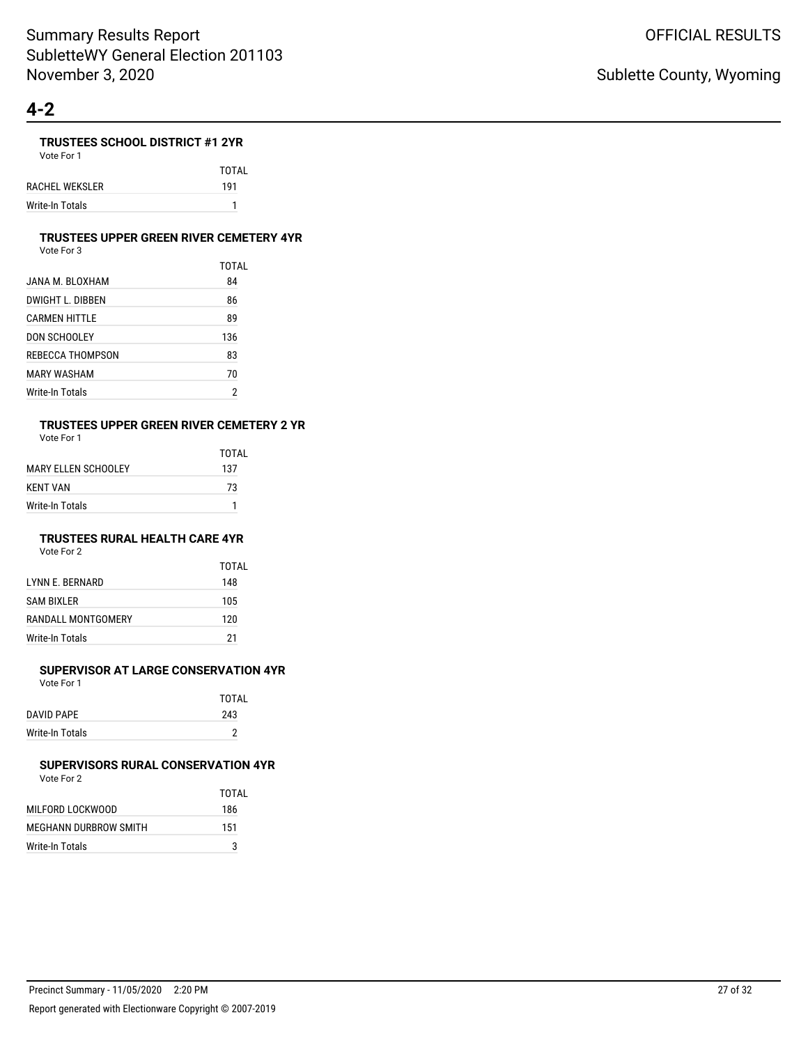### **TRUSTEES SCHOOL DISTRICT #1 2YR**

Vote For 1

TOTAL RACHEL WEKSLER 191 Write-In Totals 1

#### **TRUSTEES UPPER GREEN RIVER CEMETERY 4YR**

Vote For 3

|                  | TOTAL          |
|------------------|----------------|
| JANA M. BLOXHAM  | 84             |
| DWIGHT L. DIBBEN | 86             |
| CARMEN HITTLE    | 89             |
| DON SCHOOLEY     | 136            |
| REBECCA THOMPSON | 83             |
| MARY WASHAM      | 70             |
| Write-In Totals  | $\overline{2}$ |

# **TRUSTEES UPPER GREEN RIVER CEMETERY 2 YR**

Vote For 1

|                        | TOTAI |
|------------------------|-------|
| MARY FI I FN SCHOOI FY | 137   |
| KFNT VAN               | 73    |
| Write-In Totals        |       |

### **TRUSTEES RURAL HEALTH CARE 4YR**

Vote For 2

|                    | TOTAI |
|--------------------|-------|
| I YNN F. BERNARD   | 148   |
| <b>SAM BIXLER</b>  | 105   |
| RANDALL MONTGOMERY | 120   |
| Write-In Totals    | 21    |

### **SUPERVISOR AT LARGE CONSERVATION 4YR**

Vote For 1

|                 | <b>TOTAL</b> |
|-----------------|--------------|
| DAVID PAPE      | 243          |
| Write-In Totals |              |

#### **SUPERVISORS RURAL CONSERVATION 4YR** Vote For 2

|                       | TOTAL |
|-----------------------|-------|
| MILFORD LOCKWOOD      | 186   |
| MEGHANN DURBROW SMITH | 151   |
| Write-In Totals       | 3     |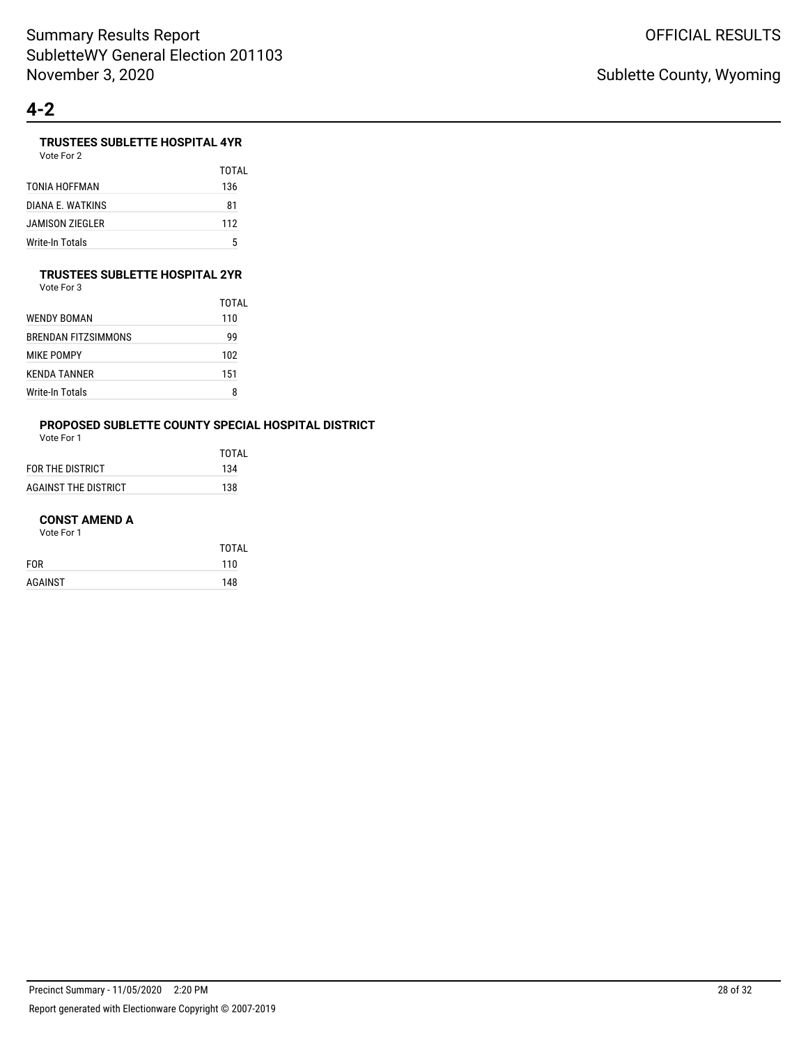### **TRUSTEES SUBLETTE HOSPITAL 4YR**

Vote For 2

|                  | TOTAL |
|------------------|-------|
| TONIA HOFFMAN    | 136   |
| DIANA E. WATKINS | 81    |
| JAMISON ZIEGLER  | 112   |
| Write-In Totals  | 5     |

#### **TRUSTEES SUBLETTE HOSPITAL 2YR**

Vote For 3

|                     | TOTAL |
|---------------------|-------|
| WENDY BOMAN         | 110   |
| BRENDAN FITZSIMMONS | 99    |
| MIKE POMPY          | 102   |
| KENDA TANNER        | 151   |
| Write-In Totals     | 8     |

# **PROPOSED SUBLETTE COUNTY SPECIAL HOSPITAL DISTRICT**

Vote For 1

|                      | TOTAL |
|----------------------|-------|
| FOR THE DISTRICT     | 134   |
| AGAINST THE DISTRICT | 138   |

#### **CONST AMEND A**

|            | <b>TOTAL</b> |
|------------|--------------|
| <b>FOR</b> | 110          |
| AGAINST    | 148          |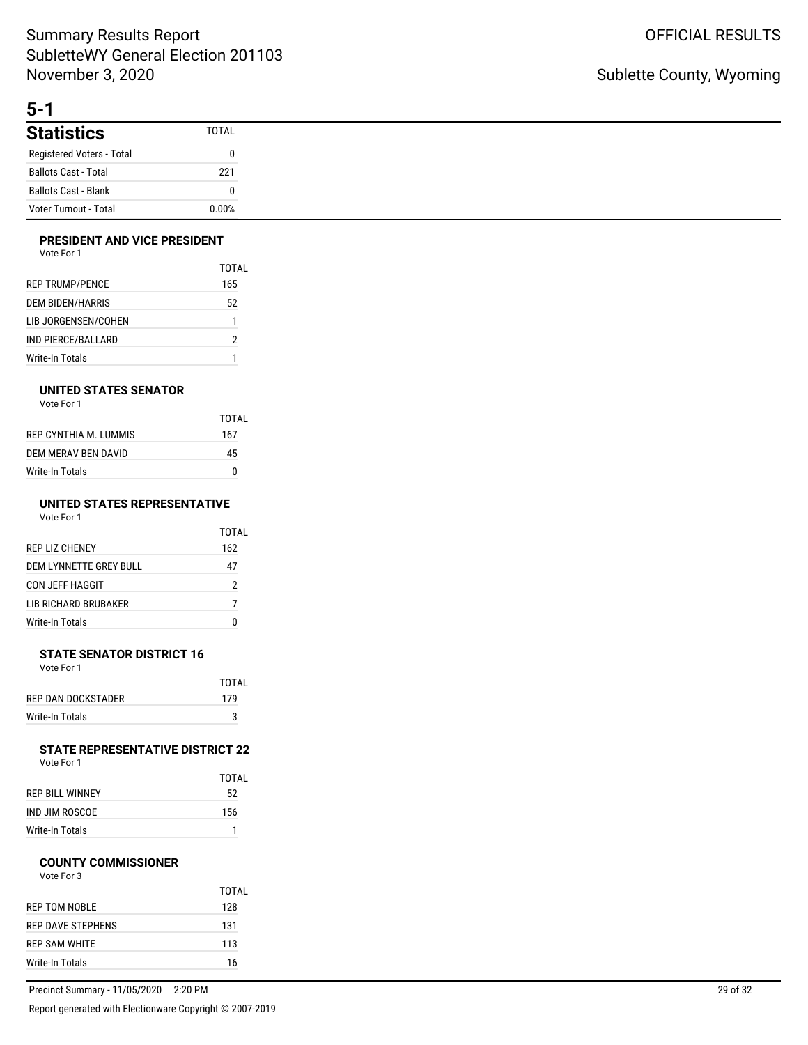# **5-1**

| <b>Statistics</b>            | <b>TOTAL</b> |
|------------------------------|--------------|
| Registered Voters - Total    |              |
| <b>Ballots Cast - Total</b>  | 221          |
| <b>Ballots Cast - Blank</b>  | 0            |
| <b>Voter Turnout - Total</b> | 0.00%        |

### **PRESIDENT AND VICE PRESIDENT**

| Vote For 1 |  |
|------------|--|
|------------|--|

|                         | TOTAL |
|-------------------------|-------|
| <b>REP TRUMP/PENCE</b>  | 165   |
| <b>DEM BIDEN/HARRIS</b> | 52    |
| LIB JORGENSEN/COHEN     | 1     |
| IND PIERCE/BALLARD      | 2     |
| Write-In Totals         |       |

### **UNITED STATES SENATOR**

Vote For 1

|                       | TOTAL |
|-----------------------|-------|
| REP CYNTHIA M. LUMMIS | 167   |
| DEM MERAV BEN DAVID   | 45    |
| Write-In Totals       | n     |

#### **UNITED STATES REPRESENTATIVE**  $V_{\text{obs}}$  F.

| vote For T |  |  |
|------------|--|--|
|            |  |  |

|                         | TOTAI |
|-------------------------|-------|
| <b>REP LIZ CHENEY</b>   | 162   |
| DEM I YNNETTE GREY BULL | 47    |
| CON JEFF HAGGIT         | 2     |
| I IB RICHARD BRUBAKER   | 7     |
| <b>Write-In Totals</b>  |       |

#### **STATE SENATOR DISTRICT 16** Vote For 1

| .                  |       |
|--------------------|-------|
|                    | TOTAI |
| REP DAN DOCKSTADER | 179   |
| Write-In Totals    | 3     |

#### **STATE REPRESENTATIVE DISTRICT 22** Vote For 1

| TOTAI |
|-------|
| 52    |
| 156   |
|       |

Write-In Totals 1

#### **COUNTY COMMISSIONER**

|                      | TOTAI |
|----------------------|-------|
| <b>REP TOM NOBLE</b> | 128   |
| REP DAVE STEPHENS    | 131   |
| REP SAM WHITE        | 113   |
| Write-In Totals      | 16    |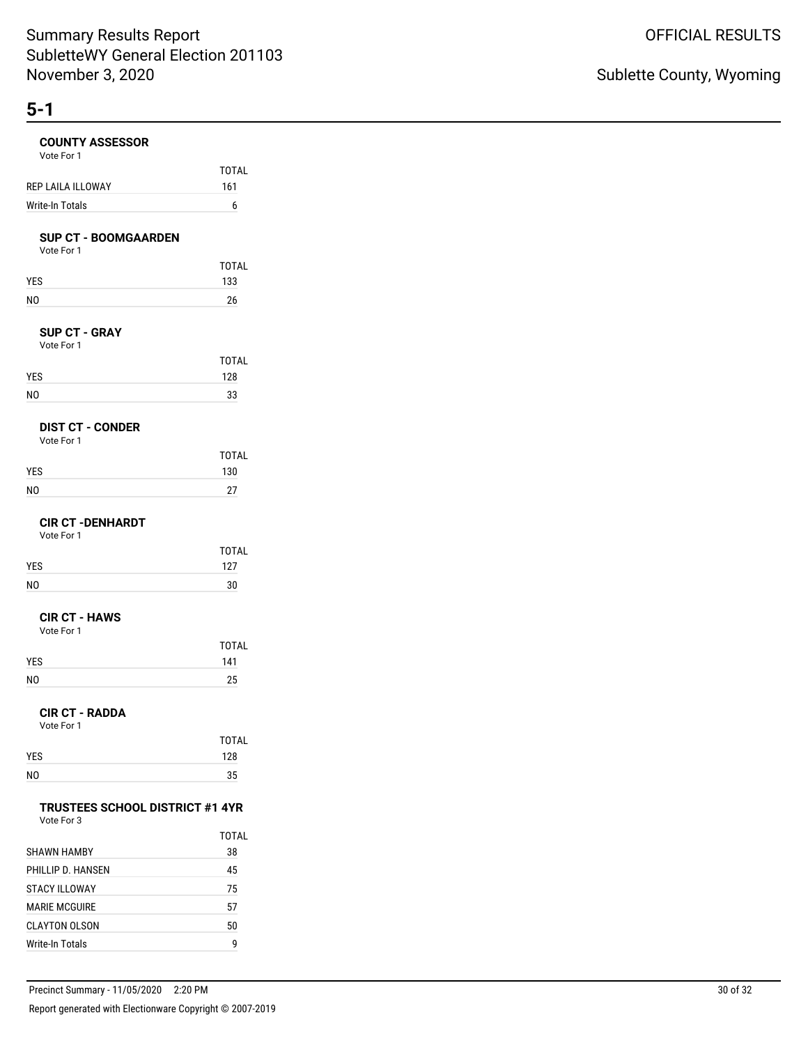| <b>COUNTY ASSESSOR</b><br>Vote For 1                 |           |
|------------------------------------------------------|-----------|
|                                                      | TOTAL     |
| REP LAILA ILLOWAY                                    | 161       |
| Write-In Totals                                      | 6         |
| <b>SUP CT - BOOMGAARDEN</b><br>Vote For 1            |           |
|                                                      | TOTAL     |
| YES                                                  | 133       |
| N <sub>O</sub>                                       | 26        |
| <b>SUP CT - GRAY</b><br>Vote For 1                   |           |
|                                                      | TOTAL     |
| YES                                                  | 128       |
| N <sub>O</sub>                                       | 33        |
| <b>DIST CT - CONDER</b><br>Vote For 1                |           |
|                                                      | TOTAL     |
| YES                                                  | 130       |
| NO                                                   | 27        |
| <b>CIR CT -DENHARDT</b><br>Vote For 1                |           |
|                                                      | TOTAL     |
| YES                                                  | 127       |
| NO                                                   | 30        |
| <b>CIR CT - HAWS</b><br>Vote For 1                   |           |
|                                                      | TOTAL     |
| YES<br>NO                                            | 141<br>25 |
|                                                      |           |
| <b>CIR CT - RADDA</b><br>Vote For 1                  |           |
|                                                      | TOTAL     |
| YES                                                  | 128       |
| NO                                                   | 35        |
| <b>TRUSTEES SCHOOL DISTRICT #1 4YR</b><br>Vote For 3 |           |
|                                                      | TOTAL     |
| <b>SHAWN HAMBY</b>                                   | 38        |
| PHILLIP D. HANSEN                                    | 45        |
| <b>STACY ILLOWAY</b>                                 | 75        |
| <b>MARIE MCGUIRE</b>                                 | 57        |
| CLAYTON OLSON                                        | 50        |

Write-In Totals 9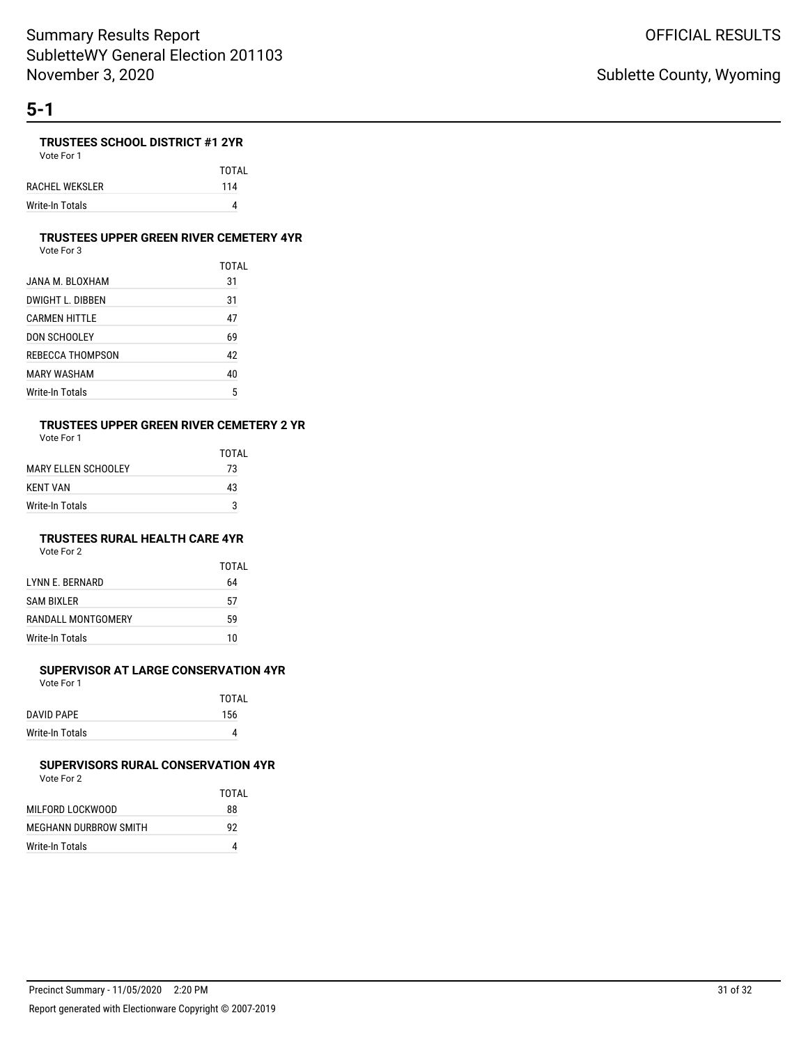### **TRUSTEES SCHOOL DISTRICT #1 2YR**

Vote For 1 TOTAL RACHEL WEKSLER 114 Write-In Totals 4

#### **TRUSTEES UPPER GREEN RIVER CEMETERY 4YR**

Vote For 3

|                  | TOTAI |
|------------------|-------|
| JANA M. BLOXHAM  | 31    |
| DWIGHT L. DIBBEN | 31    |
| CARMEN HITTLE    | 47    |
| DON SCHOOLEY     | 69    |
| REBECCA THOMPSON | 42    |
| MARY WASHAM      | 40    |
| Write-In Totals  | 5     |

# **TRUSTEES UPPER GREEN RIVER CEMETERY 2 YR**

Vote For 1

|                      | TOTAI |
|----------------------|-------|
| MARY FI LEN SCHOOLEY | 73    |
| KFNT VAN             | 43    |
| Write-In Totals      | 3     |

### **TRUSTEES RURAL HEALTH CARE 4YR**

Vote For 2

|                         | <b>TOTAL</b> |
|-------------------------|--------------|
| <b>I YNN E. BERNARD</b> | 64           |
| <b>SAM BIXLER</b>       | 57           |
| RANDALL MONTGOMERY      | 59           |
| Write-In Totals         | 10           |

### **SUPERVISOR AT LARGE CONSERVATION 4YR**

Vote For 1

|                 | TOTAI |
|-----------------|-------|
| DAVID PAPE      | 156   |
| Write-In Totals |       |
|                 |       |

#### **SUPERVISORS RURAL CONSERVATION 4YR** Vote For 2

|                       | TOTAI |
|-----------------------|-------|
| MILFORD LOCKWOOD      | 88    |
| MEGHANN DURBROW SMITH | 92    |
| Write-In Totals       |       |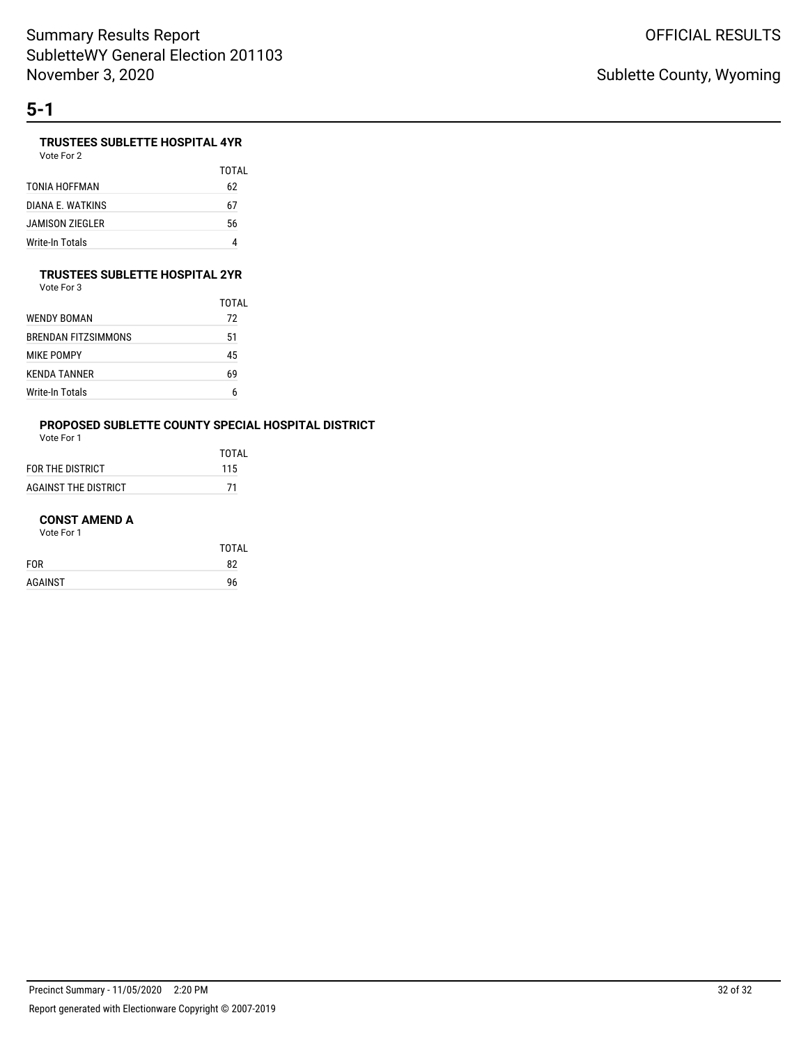### **TRUSTEES SUBLETTE HOSPITAL 4YR**

Vote For 2

|                  | TOTAI |
|------------------|-------|
| TONIA HOFFMAN    | 62    |
| DIANA F. WATKINS | 67    |
| JAMISON ZIEGLER  | 56    |
| Write-In Totals  | 4     |

#### **TRUSTEES SUBLETTE HOSPITAL 2YR**

Vote For 3

|                     | TOTAL |
|---------------------|-------|
| WENDY BOMAN         | 72    |
| BRENDAN FITZSIMMONS | 51    |
| MIKE POMPY          | 45    |
| KENDA TANNER        | 69    |
| Write-In Totals     | 6     |

# **PROPOSED SUBLETTE COUNTY SPECIAL HOSPITAL DISTRICT**

Vote For 1

|                      | <b>TOTAL</b> |
|----------------------|--------------|
| FOR THE DISTRICT     | 115          |
| AGAINST THE DISTRICT | -71          |

#### **CONST AMEND A**

|            | <b>TOTAL</b> |
|------------|--------------|
| <b>FOR</b> | 82           |
| AGAINST    | 96           |